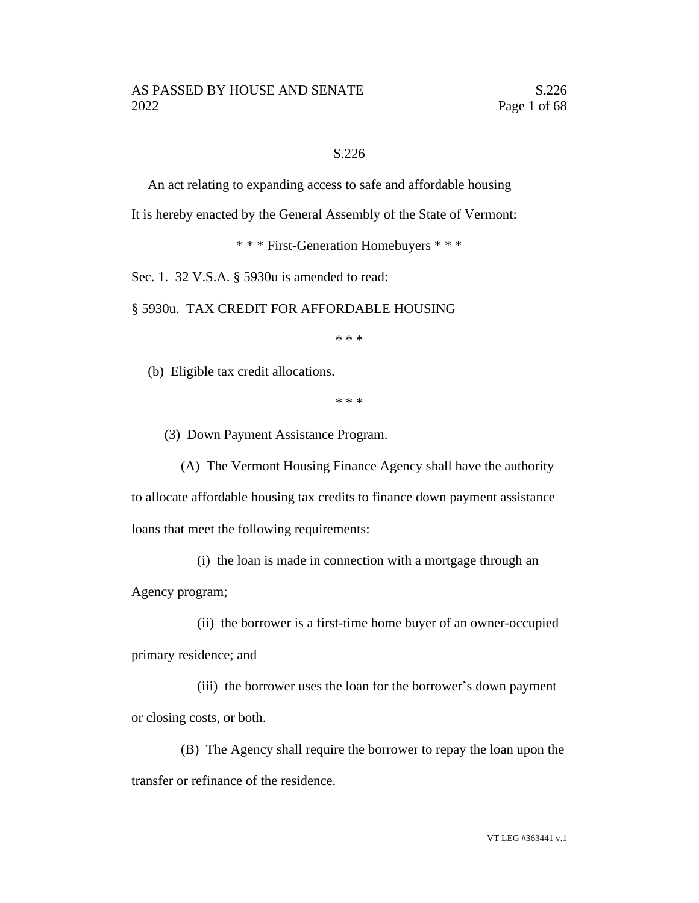### S.226

An act relating to expanding access to safe and affordable housing

It is hereby enacted by the General Assembly of the State of Vermont:

\* \* \* First-Generation Homebuyers \* \* \*

Sec. 1. 32 V.S.A. § 5930u is amended to read:

§ 5930u. TAX CREDIT FOR AFFORDABLE HOUSING

\* \* \*

(b) Eligible tax credit allocations.

\* \* \*

(3) Down Payment Assistance Program.

(A) The Vermont Housing Finance Agency shall have the authority to allocate affordable housing tax credits to finance down payment assistance loans that meet the following requirements:

(i) the loan is made in connection with a mortgage through an Agency program;

(ii) the borrower is a first-time home buyer of an owner-occupied primary residence; and

(iii) the borrower uses the loan for the borrower's down payment or closing costs, or both.

(B) The Agency shall require the borrower to repay the loan upon the transfer or refinance of the residence.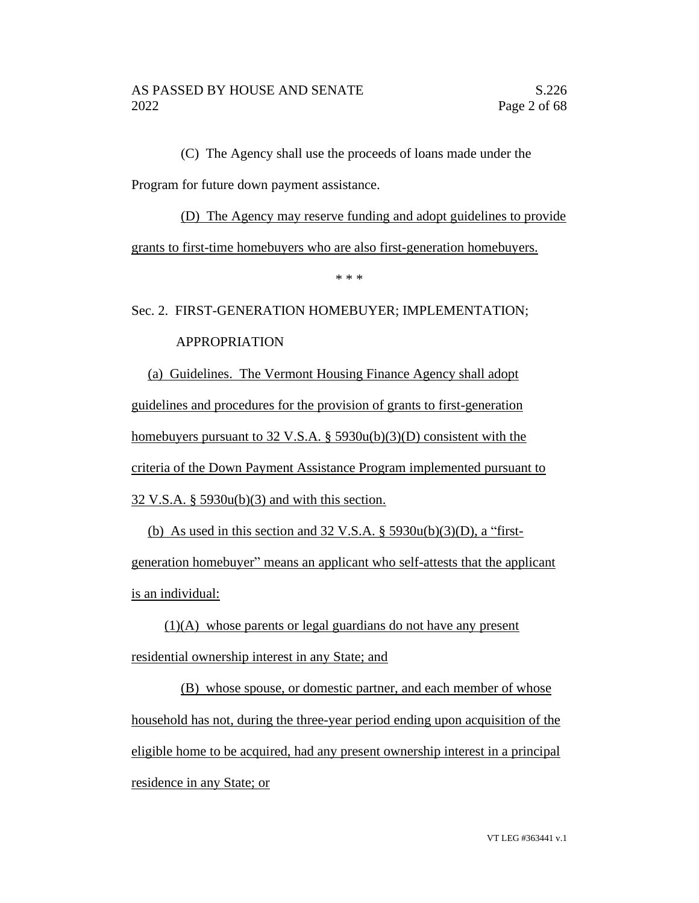(C) The Agency shall use the proceeds of loans made under the Program for future down payment assistance.

# (D) The Agency may reserve funding and adopt guidelines to provide grants to first-time homebuyers who are also first-generation homebuyers.

\* \* \*

# Sec. 2. FIRST-GENERATION HOMEBUYER; IMPLEMENTATION;

### APPROPRIATION

(a) Guidelines. The Vermont Housing Finance Agency shall adopt guidelines and procedures for the provision of grants to first-generation homebuyers pursuant to 32 V.S.A. § 5930u(b)(3)(D) consistent with the criteria of the Down Payment Assistance Program implemented pursuant to 32 V.S.A. § 5930u(b)(3) and with this section.

(b) As used in this section and  $32 \text{ V.S.A.}$  §  $5930u(b)(3)(D)$ , a "firstgeneration homebuyer" means an applicant who self-attests that the applicant is an individual:

(1)(A) whose parents or legal guardians do not have any present residential ownership interest in any State; and

(B) whose spouse, or domestic partner, and each member of whose household has not, during the three-year period ending upon acquisition of the eligible home to be acquired, had any present ownership interest in a principal residence in any State; or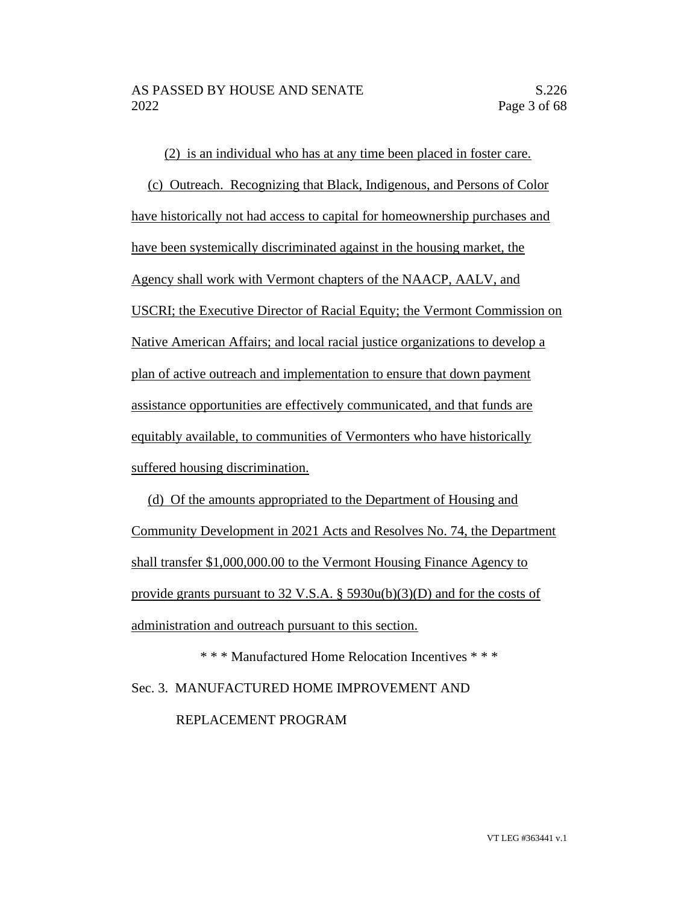(2) is an individual who has at any time been placed in foster care.

(c) Outreach. Recognizing that Black, Indigenous, and Persons of Color have historically not had access to capital for homeownership purchases and have been systemically discriminated against in the housing market, the Agency shall work with Vermont chapters of the NAACP, AALV, and USCRI; the Executive Director of Racial Equity; the Vermont Commission on Native American Affairs; and local racial justice organizations to develop a plan of active outreach and implementation to ensure that down payment assistance opportunities are effectively communicated, and that funds are equitably available, to communities of Vermonters who have historically suffered housing discrimination.

(d) Of the amounts appropriated to the Department of Housing and Community Development in 2021 Acts and Resolves No. 74, the Department shall transfer \$1,000,000.00 to the Vermont Housing Finance Agency to provide grants pursuant to 32 V.S.A.  $\S$  5930u(b)(3)(D) and for the costs of administration and outreach pursuant to this section.

\* \* \* Manufactured Home Relocation Incentives \* \* \* Sec. 3. MANUFACTURED HOME IMPROVEMENT AND REPLACEMENT PROGRAM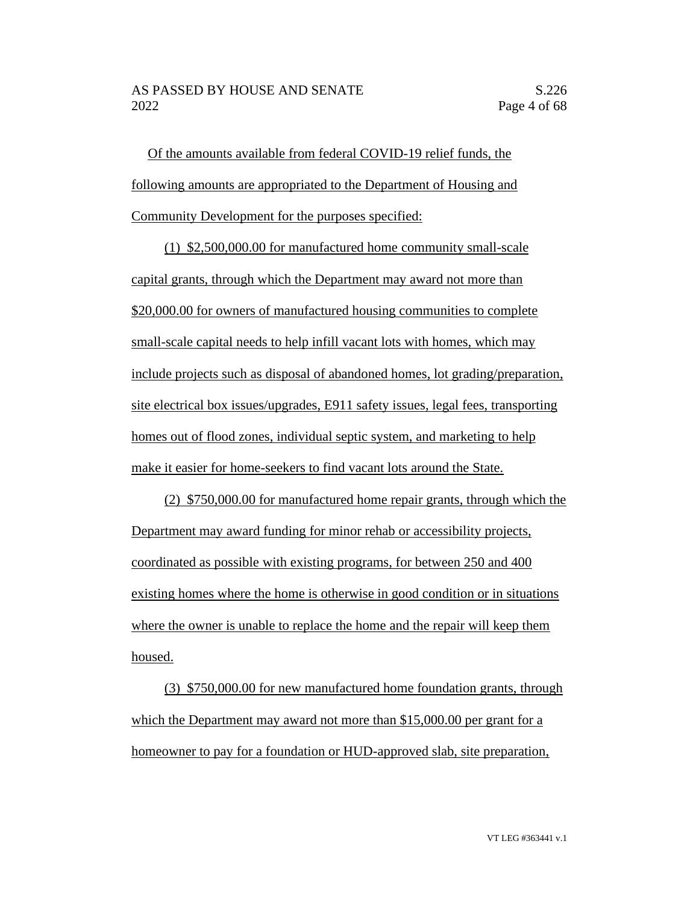Of the amounts available from federal COVID-19 relief funds, the following amounts are appropriated to the Department of Housing and Community Development for the purposes specified:

(1) \$2,500,000.00 for manufactured home community small-scale capital grants, through which the Department may award not more than \$20,000.00 for owners of manufactured housing communities to complete small-scale capital needs to help infill vacant lots with homes, which may include projects such as disposal of abandoned homes, lot grading/preparation, site electrical box issues/upgrades, E911 safety issues, legal fees, transporting homes out of flood zones, individual septic system, and marketing to help make it easier for home-seekers to find vacant lots around the State.

(2) \$750,000.00 for manufactured home repair grants, through which the Department may award funding for minor rehab or accessibility projects, coordinated as possible with existing programs, for between 250 and 400 existing homes where the home is otherwise in good condition or in situations where the owner is unable to replace the home and the repair will keep them housed.

(3) \$750,000.00 for new manufactured home foundation grants, through which the Department may award not more than \$15,000.00 per grant for a homeowner to pay for a foundation or HUD-approved slab, site preparation,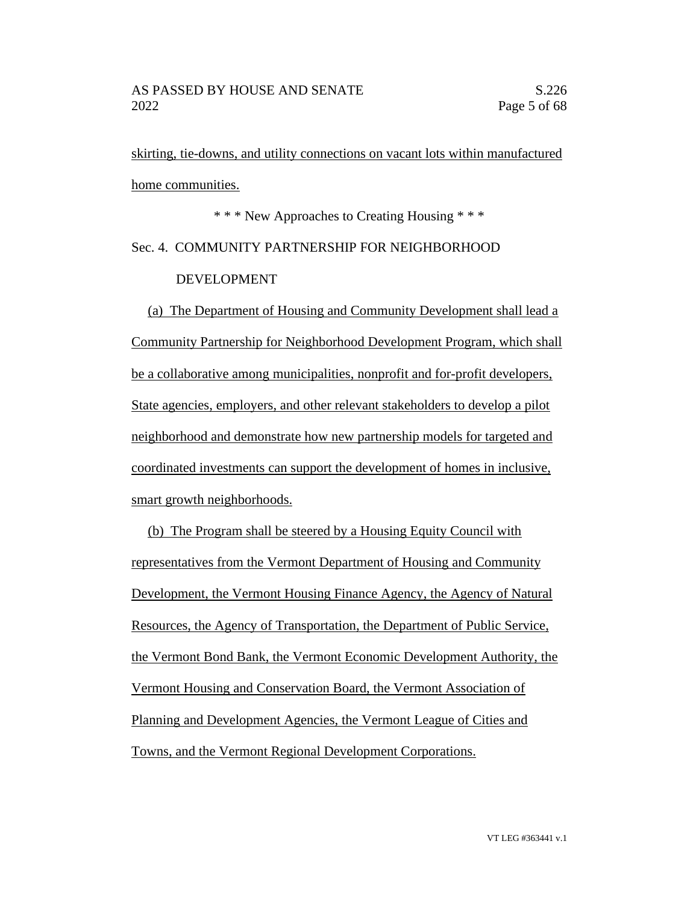skirting, tie-downs, and utility connections on vacant lots within manufactured home communities.

\* \* \* New Approaches to Creating Housing \* \* \* Sec. 4. COMMUNITY PARTNERSHIP FOR NEIGHBORHOOD DEVELOPMENT

(a) The Department of Housing and Community Development shall lead a Community Partnership for Neighborhood Development Program, which shall be a collaborative among municipalities, nonprofit and for-profit developers, State agencies, employers, and other relevant stakeholders to develop a pilot neighborhood and demonstrate how new partnership models for targeted and coordinated investments can support the development of homes in inclusive, smart growth neighborhoods.

(b) The Program shall be steered by a Housing Equity Council with representatives from the Vermont Department of Housing and Community Development, the Vermont Housing Finance Agency, the Agency of Natural Resources, the Agency of Transportation, the Department of Public Service, the Vermont Bond Bank, the Vermont Economic Development Authority, the Vermont Housing and Conservation Board, the Vermont Association of Planning and Development Agencies, the Vermont League of Cities and Towns, and the Vermont Regional Development Corporations.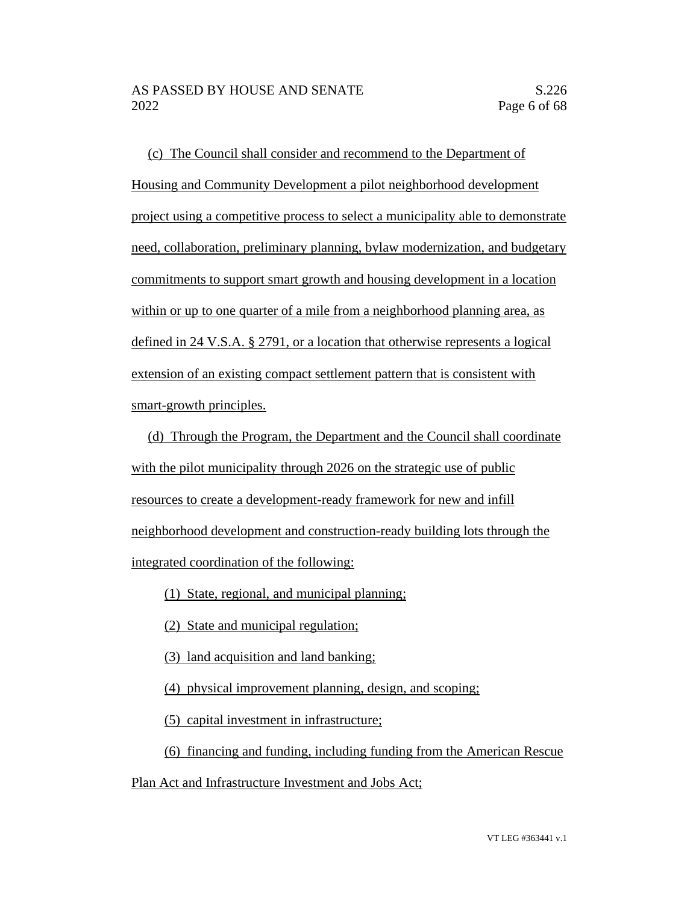(c) The Council shall consider and recommend to the Department of Housing and Community Development a pilot neighborhood development project using a competitive process to select a municipality able to demonstrate need, collaboration, preliminary planning, bylaw modernization, and budgetary commitments to support smart growth and housing development in a location within or up to one quarter of a mile from a neighborhood planning area, as defined in 24 V.S.A. § 2791, or a location that otherwise represents a logical extension of an existing compact settlement pattern that is consistent with smart-growth principles.

(d) Through the Program, the Department and the Council shall coordinate with the pilot municipality through 2026 on the strategic use of public resources to create a development-ready framework for new and infill neighborhood development and construction-ready building lots through the integrated coordination of the following:

- (1) State, regional, and municipal planning;
- (2) State and municipal regulation;
- (3) land acquisition and land banking;
- (4) physical improvement planning, design, and scoping;
- (5) capital investment in infrastructure;

(6) financing and funding, including funding from the American Rescue

Plan Act and Infrastructure Investment and Jobs Act;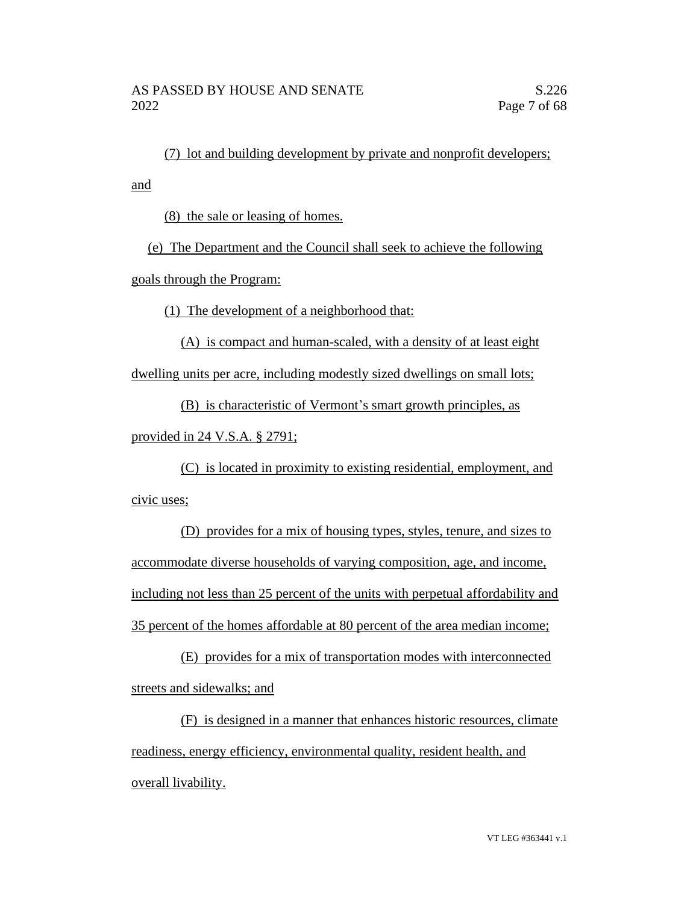(7) lot and building development by private and nonprofit developers; and

(8) the sale or leasing of homes.

(e) The Department and the Council shall seek to achieve the following goals through the Program:

(1) The development of a neighborhood that:

(A) is compact and human-scaled, with a density of at least eight dwelling units per acre, including modestly sized dwellings on small lots;

(B) is characteristic of Vermont's smart growth principles, as

provided in 24 V.S.A. § 2791;

(C) is located in proximity to existing residential, employment, and civic uses;

(D) provides for a mix of housing types, styles, tenure, and sizes to accommodate diverse households of varying composition, age, and income, including not less than 25 percent of the units with perpetual affordability and 35 percent of the homes affordable at 80 percent of the area median income;

(E) provides for a mix of transportation modes with interconnected streets and sidewalks; and

(F) is designed in a manner that enhances historic resources, climate readiness, energy efficiency, environmental quality, resident health, and overall livability.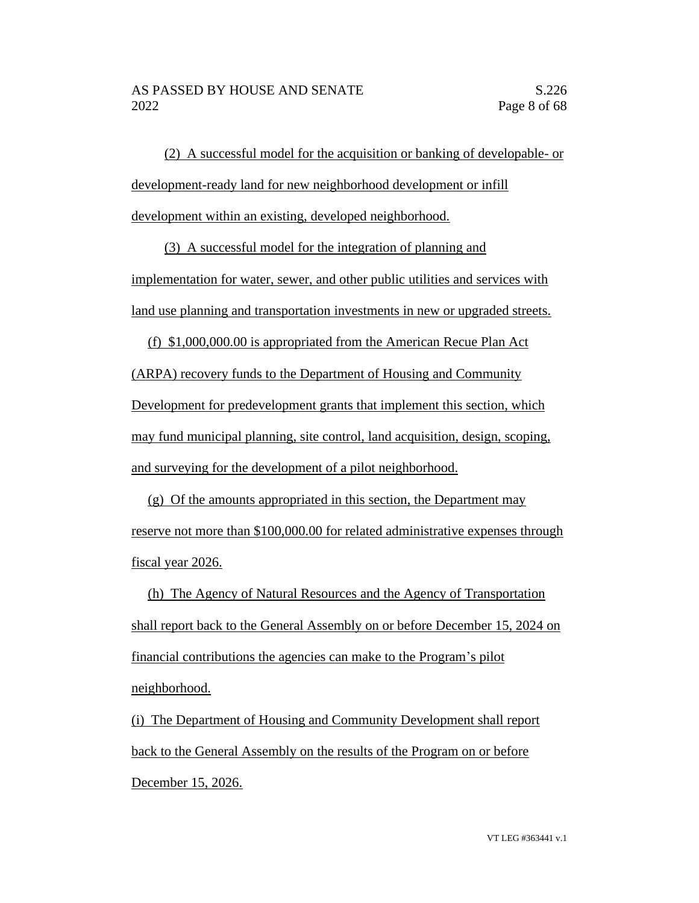(2) A successful model for the acquisition or banking of developable- or development-ready land for new neighborhood development or infill development within an existing, developed neighborhood.

(3) A successful model for the integration of planning and implementation for water, sewer, and other public utilities and services with land use planning and transportation investments in new or upgraded streets.

(f) \$1,000,000.00 is appropriated from the American Recue Plan Act (ARPA) recovery funds to the Department of Housing and Community Development for predevelopment grants that implement this section, which may fund municipal planning, site control, land acquisition, design, scoping, and surveying for the development of a pilot neighborhood.

(g) Of the amounts appropriated in this section, the Department may reserve not more than \$100,000.00 for related administrative expenses through fiscal year 2026.

(h) The Agency of Natural Resources and the Agency of Transportation shall report back to the General Assembly on or before December 15, 2024 on financial contributions the agencies can make to the Program's pilot neighborhood.

(i) The Department of Housing and Community Development shall report back to the General Assembly on the results of the Program on or before December 15, 2026.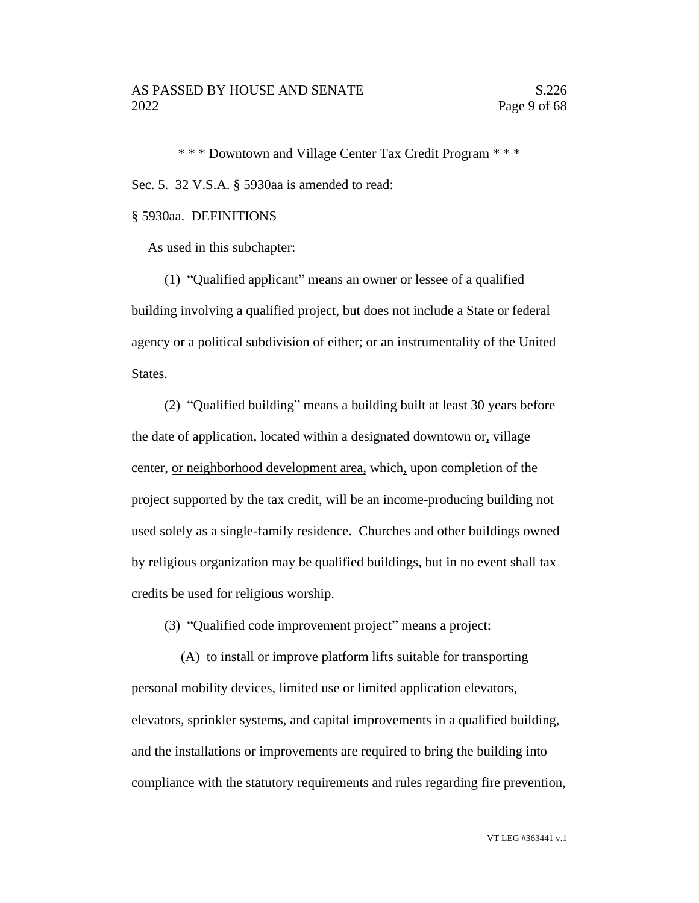\* \* \* Downtown and Village Center Tax Credit Program \* \* \* Sec. 5. 32 V.S.A. § 5930aa is amended to read:

### § 5930aa. DEFINITIONS

As used in this subchapter:

(1) "Qualified applicant" means an owner or lessee of a qualified building involving a qualified project, but does not include a State or federal agency or a political subdivision of either; or an instrumentality of the United States.

(2) "Qualified building" means a building built at least 30 years before the date of application, located within a designated downtown  $\theta$ , village center, or neighborhood development area, which, upon completion of the project supported by the tax credit, will be an income-producing building not used solely as a single-family residence. Churches and other buildings owned by religious organization may be qualified buildings, but in no event shall tax credits be used for religious worship.

(3) "Qualified code improvement project" means a project:

(A) to install or improve platform lifts suitable for transporting personal mobility devices, limited use or limited application elevators, elevators, sprinkler systems, and capital improvements in a qualified building, and the installations or improvements are required to bring the building into compliance with the statutory requirements and rules regarding fire prevention,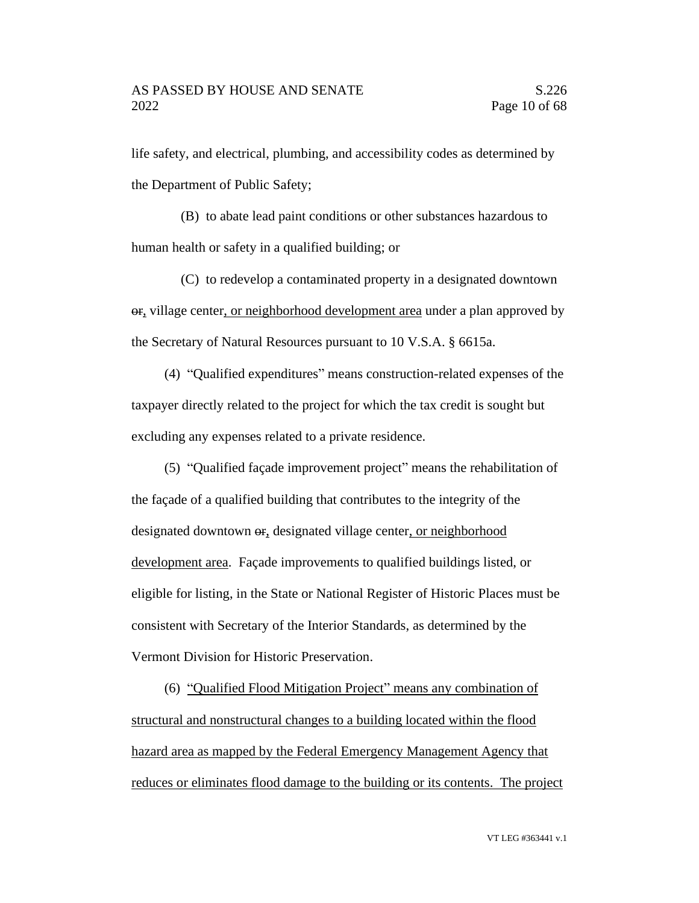life safety, and electrical, plumbing, and accessibility codes as determined by the Department of Public Safety;

(B) to abate lead paint conditions or other substances hazardous to human health or safety in a qualified building; or

(C) to redevelop a contaminated property in a designated downtown or, village center, or neighborhood development area under a plan approved by the Secretary of Natural Resources pursuant to 10 V.S.A. § 6615a.

(4) "Qualified expenditures" means construction-related expenses of the taxpayer directly related to the project for which the tax credit is sought but excluding any expenses related to a private residence.

(5) "Qualified façade improvement project" means the rehabilitation of the façade of a qualified building that contributes to the integrity of the designated downtown  $\Theta$ , designated village center, or neighborhood development area. Façade improvements to qualified buildings listed, or eligible for listing, in the State or National Register of Historic Places must be consistent with Secretary of the Interior Standards, as determined by the Vermont Division for Historic Preservation.

(6) "Qualified Flood Mitigation Project" means any combination of structural and nonstructural changes to a building located within the flood hazard area as mapped by the Federal Emergency Management Agency that reduces or eliminates flood damage to the building or its contents. The project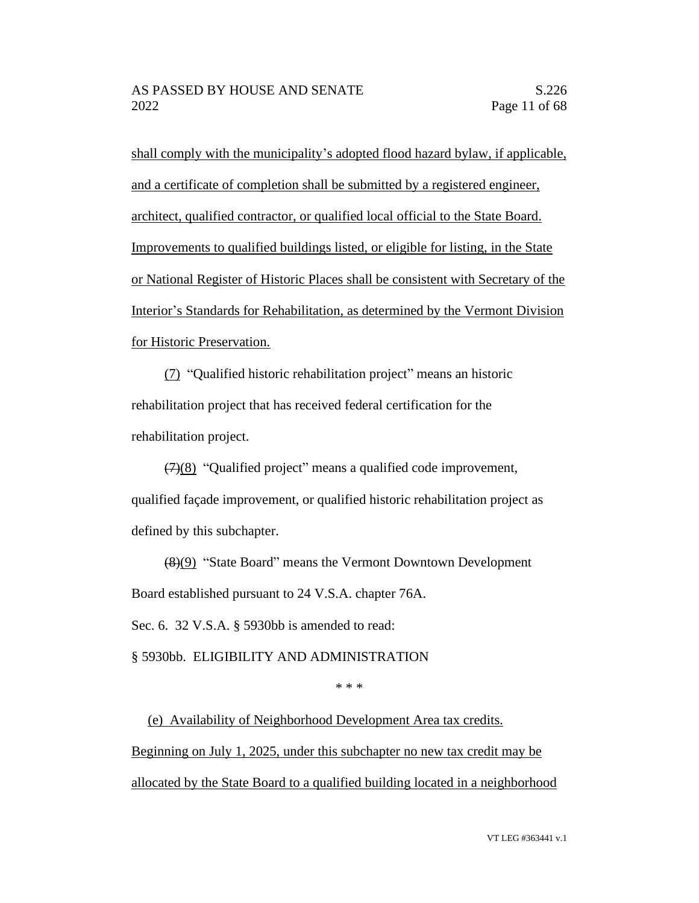shall comply with the municipality's adopted flood hazard bylaw, if applicable, and a certificate of completion shall be submitted by a registered engineer, architect, qualified contractor, or qualified local official to the State Board. Improvements to qualified buildings listed, or eligible for listing, in the State or National Register of Historic Places shall be consistent with Secretary of the Interior's Standards for Rehabilitation, as determined by the Vermont Division for Historic Preservation.

(7) "Qualified historic rehabilitation project" means an historic rehabilitation project that has received federal certification for the rehabilitation project.

(7)(8) "Qualified project" means a qualified code improvement, qualified façade improvement, or qualified historic rehabilitation project as defined by this subchapter.

(8)(9) "State Board" means the Vermont Downtown Development Board established pursuant to 24 V.S.A. chapter 76A.

Sec. 6. 32 V.S.A. § 5930bb is amended to read:

§ 5930bb. ELIGIBILITY AND ADMINISTRATION

\* \* \*

(e) Availability of Neighborhood Development Area tax credits. Beginning on July 1, 2025, under this subchapter no new tax credit may be allocated by the State Board to a qualified building located in a neighborhood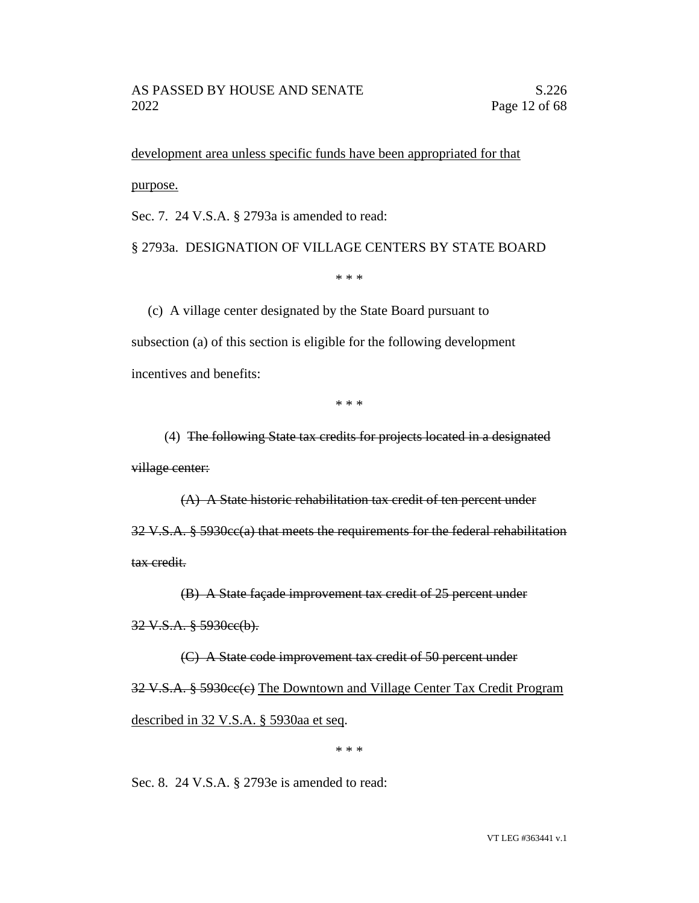development area unless specific funds have been appropriated for that purpose.

Sec. 7. 24 V.S.A. § 2793a is amended to read:

§ 2793a. DESIGNATION OF VILLAGE CENTERS BY STATE BOARD

\* \* \*

(c) A village center designated by the State Board pursuant to subsection (a) of this section is eligible for the following development incentives and benefits:

\* \* \*

(4) The following State tax credits for projects located in a designated village center:

(A) A State historic rehabilitation tax credit of ten percent under 32 V.S.A. § 5930cc(a) that meets the requirements for the federal rehabilitation tax credit.

(B) A State façade improvement tax credit of 25 percent under

32 V.S.A. § 5930cc(b).

(C) A State code improvement tax credit of 50 percent under

32 V.S.A. § 5930cc(c) The Downtown and Village Center Tax Credit Program described in 32 V.S.A. § 5930aa et seq.

\* \* \*

Sec. 8. 24 V.S.A. § 2793e is amended to read: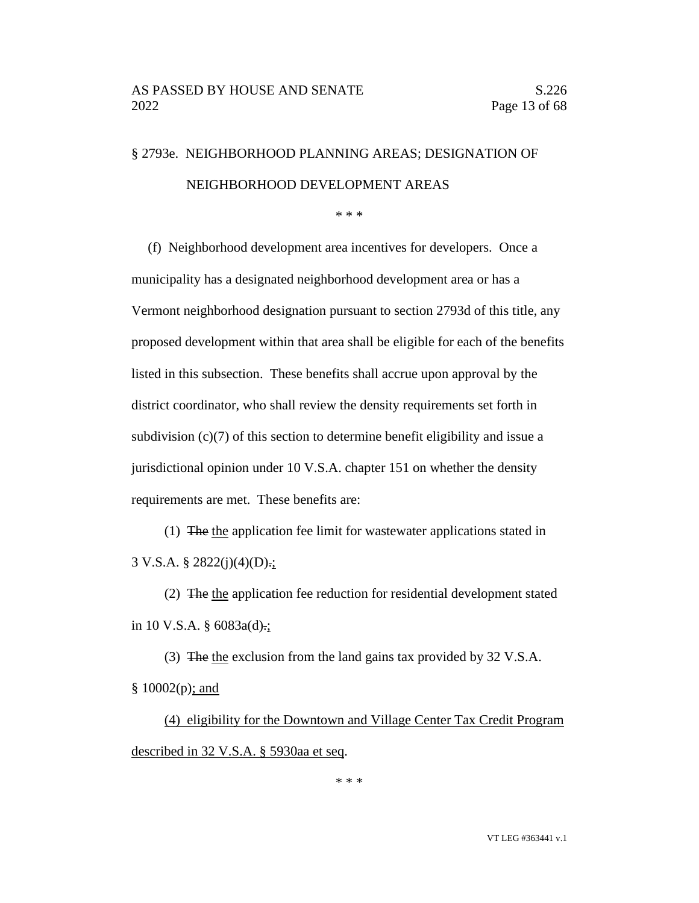# § 2793e. NEIGHBORHOOD PLANNING AREAS; DESIGNATION OF NEIGHBORHOOD DEVELOPMENT AREAS

\* \* \*

(f) Neighborhood development area incentives for developers. Once a municipality has a designated neighborhood development area or has a Vermont neighborhood designation pursuant to section 2793d of this title, any proposed development within that area shall be eligible for each of the benefits listed in this subsection. These benefits shall accrue upon approval by the district coordinator, who shall review the density requirements set forth in subdivision (c)(7) of this section to determine benefit eligibility and issue a jurisdictional opinion under 10 V.S.A. chapter 151 on whether the density requirements are met. These benefits are:

(1) The the application fee limit for wastewater applications stated in 3 V.S.A. § 2822(j)(4)(D).;

(2) The the application fee reduction for residential development stated in 10 V.S.A.  $\S$  6083a(d).;

(3) The the exclusion from the land gains tax provided by 32 V.S.A.  $§ 10002(p);$  and

(4) eligibility for the Downtown and Village Center Tax Credit Program described in 32 V.S.A. § 5930aa et seq.

\* \* \*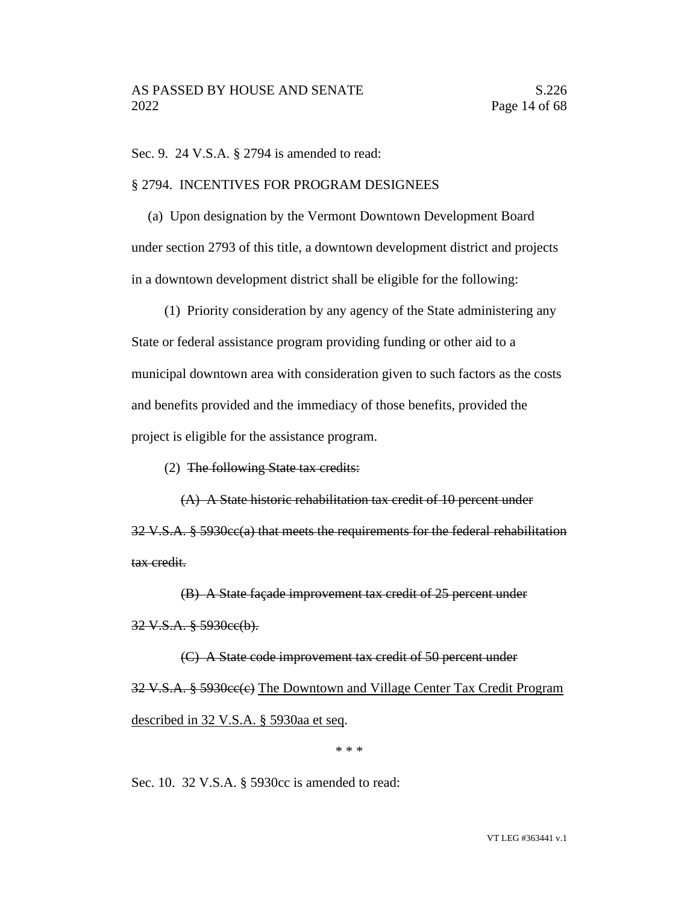Sec. 9. 24 V.S.A. § 2794 is amended to read:

### § 2794. INCENTIVES FOR PROGRAM DESIGNEES

(a) Upon designation by the Vermont Downtown Development Board under section 2793 of this title, a downtown development district and projects in a downtown development district shall be eligible for the following:

(1) Priority consideration by any agency of the State administering any State or federal assistance program providing funding or other aid to a municipal downtown area with consideration given to such factors as the costs and benefits provided and the immediacy of those benefits, provided the project is eligible for the assistance program.

(2) The following State tax credits:

(A) A State historic rehabilitation tax credit of 10 percent under 32 V.S.A. § 5930cc(a) that meets the requirements for the federal rehabilitation tax credit.

(B) A State façade improvement tax credit of 25 percent under 32 V.S.A. § 5930cc(b).

(C) A State code improvement tax credit of 50 percent under 32 V.S.A. § 5930cc(c) The Downtown and Village Center Tax Credit Program described in 32 V.S.A. § 5930aa et seq.

\* \* \*

Sec. 10. 32 V.S.A. § 5930cc is amended to read: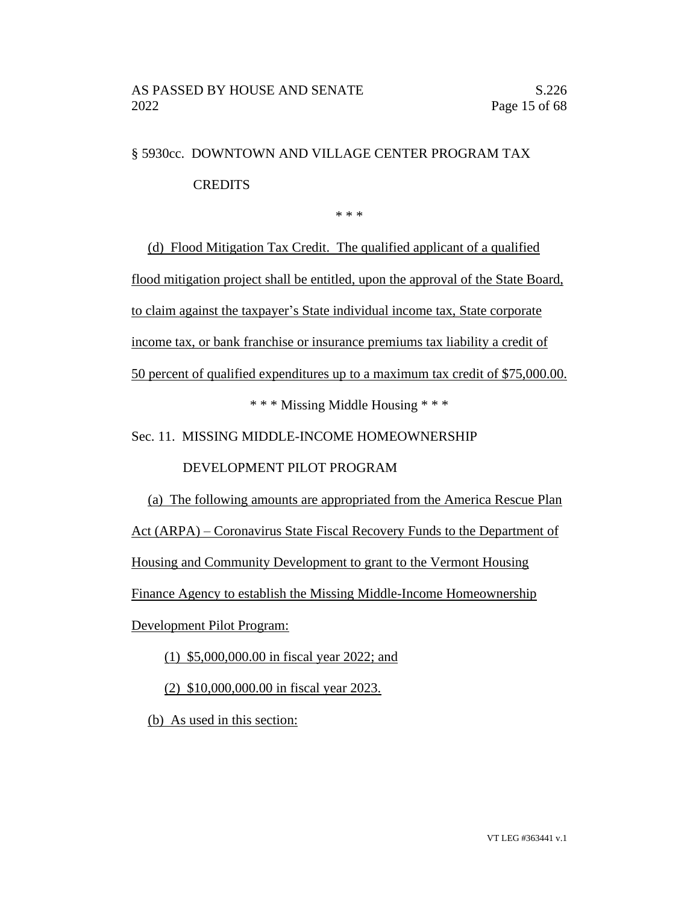# § 5930cc. DOWNTOWN AND VILLAGE CENTER PROGRAM TAX CREDITS

\* \* \*

(d) Flood Mitigation Tax Credit. The qualified applicant of a qualified flood mitigation project shall be entitled, upon the approval of the State Board, to claim against the taxpayer's State individual income tax, State corporate income tax, or bank franchise or insurance premiums tax liability a credit of 50 percent of qualified expenditures up to a maximum tax credit of \$75,000.00.

\* \* \* Missing Middle Housing \* \* \*

Sec. 11. MISSING MIDDLE-INCOME HOMEOWNERSHIP

DEVELOPMENT PILOT PROGRAM

(a) The following amounts are appropriated from the America Rescue Plan

Act (ARPA) – Coronavirus State Fiscal Recovery Funds to the Department of

Housing and Community Development to grant to the Vermont Housing

Finance Agency to establish the Missing Middle-Income Homeownership

Development Pilot Program:

(1) \$5,000,000.00 in fiscal year 2022; and

(2) \$10,000,000.00 in fiscal year 2023.

(b) As used in this section: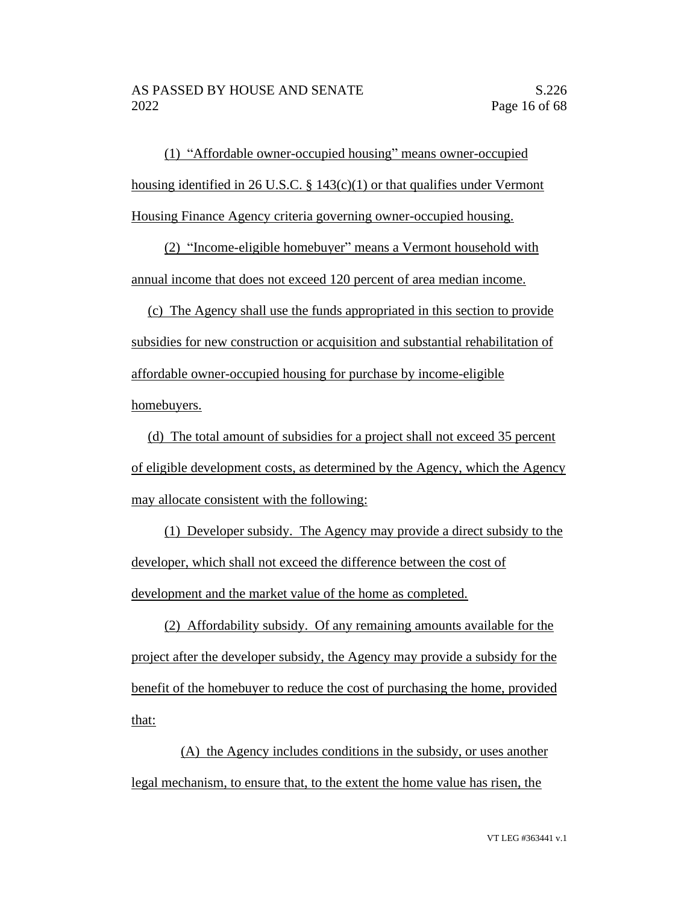(1) "Affordable owner-occupied housing" means owner-occupied housing identified in 26 U.S.C. § 143(c)(1) or that qualifies under Vermont Housing Finance Agency criteria governing owner-occupied housing.

(2) "Income-eligible homebuyer" means a Vermont household with annual income that does not exceed 120 percent of area median income.

(c) The Agency shall use the funds appropriated in this section to provide subsidies for new construction or acquisition and substantial rehabilitation of affordable owner-occupied housing for purchase by income-eligible homebuyers.

(d) The total amount of subsidies for a project shall not exceed 35 percent of eligible development costs, as determined by the Agency, which the Agency may allocate consistent with the following:

(1) Developer subsidy. The Agency may provide a direct subsidy to the developer, which shall not exceed the difference between the cost of development and the market value of the home as completed.

(2) Affordability subsidy. Of any remaining amounts available for the project after the developer subsidy, the Agency may provide a subsidy for the benefit of the homebuyer to reduce the cost of purchasing the home, provided that:

(A) the Agency includes conditions in the subsidy, or uses another legal mechanism, to ensure that, to the extent the home value has risen, the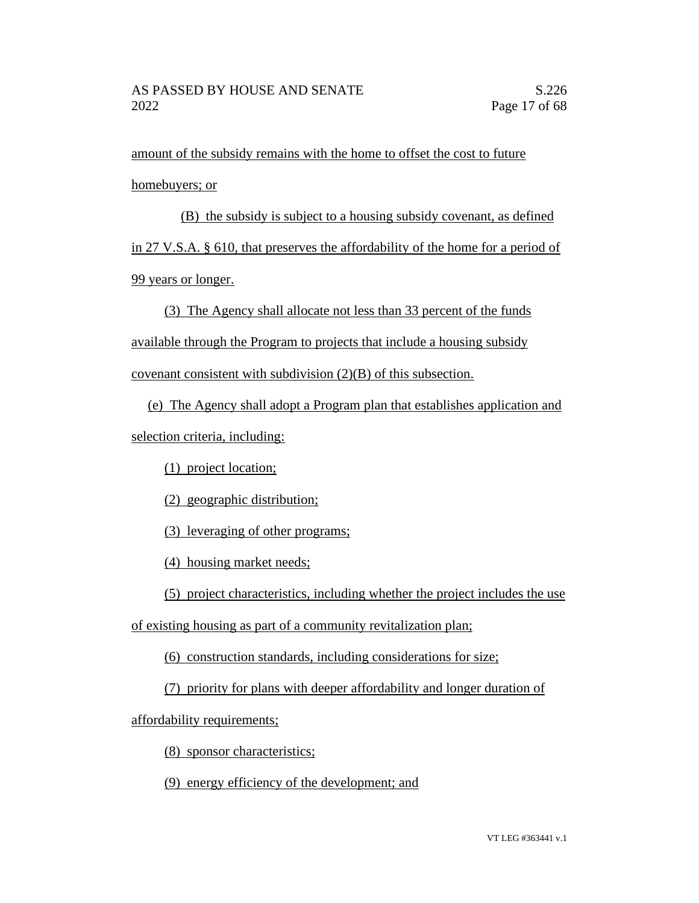amount of the subsidy remains with the home to offset the cost to future homebuyers; or

(B) the subsidy is subject to a housing subsidy covenant, as defined in 27 V.S.A. § 610, that preserves the affordability of the home for a period of 99 years or longer.

(3) The Agency shall allocate not less than 33 percent of the funds available through the Program to projects that include a housing subsidy

covenant consistent with subdivision (2)(B) of this subsection.

(e) The Agency shall adopt a Program plan that establishes application and selection criteria, including:

(1) project location;

(2) geographic distribution;

(3) leveraging of other programs;

(4) housing market needs;

(5) project characteristics, including whether the project includes the use

of existing housing as part of a community revitalization plan;

(6) construction standards, including considerations for size;

(7) priority for plans with deeper affordability and longer duration of

affordability requirements;

(8) sponsor characteristics;

(9) energy efficiency of the development; and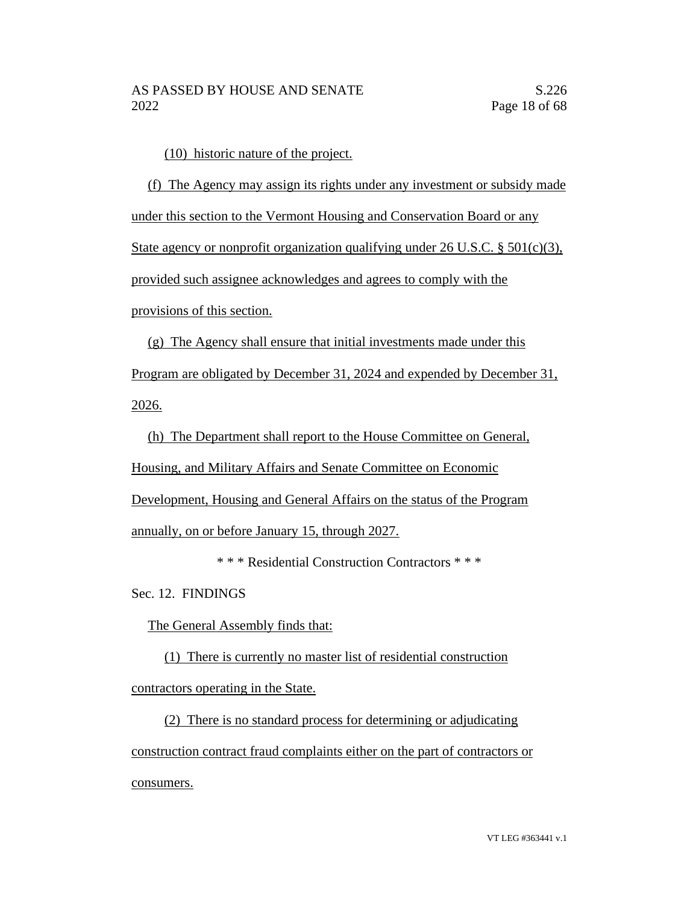(10) historic nature of the project.

(f) The Agency may assign its rights under any investment or subsidy made under this section to the Vermont Housing and Conservation Board or any State agency or nonprofit organization qualifying under 26 U.S.C. § 501(c)(3), provided such assignee acknowledges and agrees to comply with the provisions of this section.

(g) The Agency shall ensure that initial investments made under this Program are obligated by December 31, 2024 and expended by December 31, 2026.

(h) The Department shall report to the House Committee on General, Housing, and Military Affairs and Senate Committee on Economic Development, Housing and General Affairs on the status of the Program annually, on or before January 15, through 2027.

\* \* \* Residential Construction Contractors \* \* \*

Sec. 12. FINDINGS

The General Assembly finds that:

(1) There is currently no master list of residential construction contractors operating in the State.

(2) There is no standard process for determining or adjudicating construction contract fraud complaints either on the part of contractors or consumers.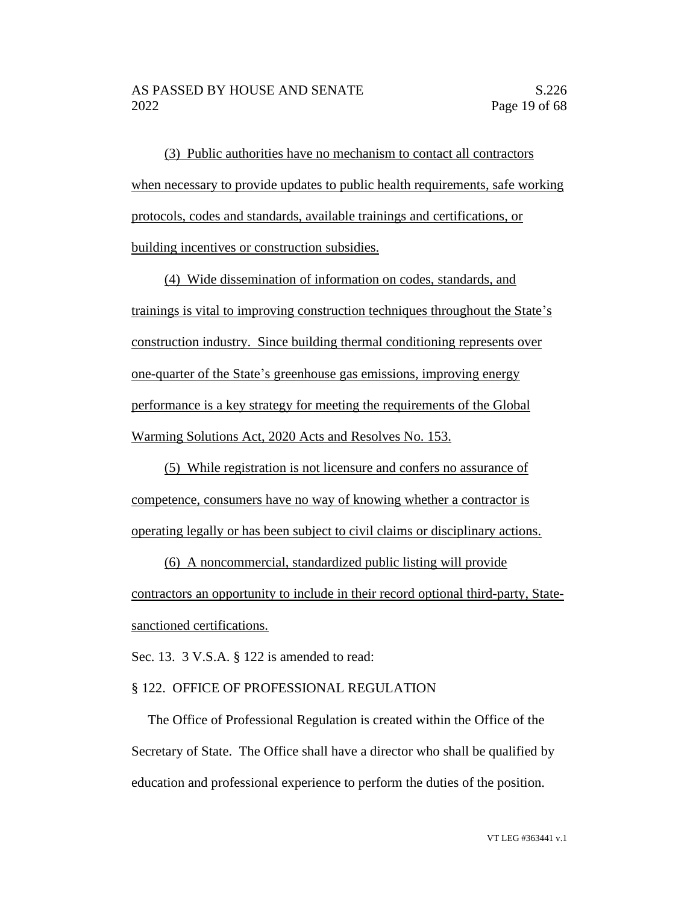(3) Public authorities have no mechanism to contact all contractors when necessary to provide updates to public health requirements, safe working protocols, codes and standards, available trainings and certifications, or building incentives or construction subsidies.

(4) Wide dissemination of information on codes, standards, and trainings is vital to improving construction techniques throughout the State's construction industry. Since building thermal conditioning represents over one-quarter of the State's greenhouse gas emissions, improving energy performance is a key strategy for meeting the requirements of the Global Warming Solutions Act, 2020 Acts and Resolves No. 153.

(5) While registration is not licensure and confers no assurance of competence, consumers have no way of knowing whether a contractor is operating legally or has been subject to civil claims or disciplinary actions.

(6) A noncommercial, standardized public listing will provide contractors an opportunity to include in their record optional third-party, Statesanctioned certifications.

Sec. 13. 3 V.S.A. § 122 is amended to read:

### § 122. OFFICE OF PROFESSIONAL REGULATION

The Office of Professional Regulation is created within the Office of the Secretary of State. The Office shall have a director who shall be qualified by education and professional experience to perform the duties of the position.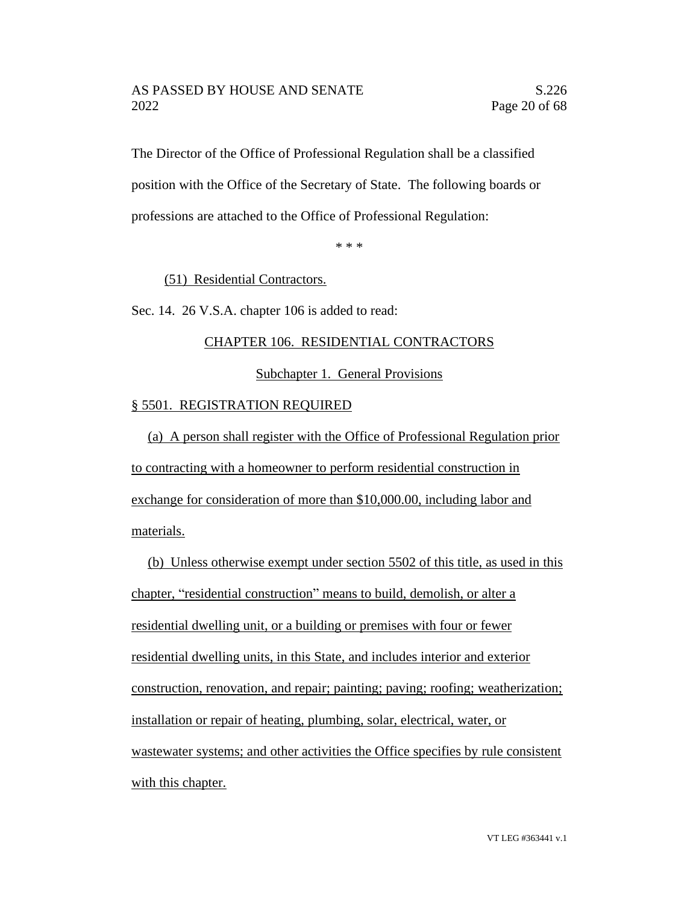### AS PASSED BY HOUSE AND SENATE S.226 2022 Page 20 of 68

The Director of the Office of Professional Regulation shall be a classified position with the Office of the Secretary of State. The following boards or professions are attached to the Office of Professional Regulation:

\* \* \*

### (51) Residential Contractors.

Sec. 14. 26 V.S.A. chapter 106 is added to read:

### CHAPTER 106. RESIDENTIAL CONTRACTORS

Subchapter 1. General Provisions

### § 5501. REGISTRATION REQUIRED

(a) A person shall register with the Office of Professional Regulation prior to contracting with a homeowner to perform residential construction in exchange for consideration of more than \$10,000.00, including labor and materials.

(b) Unless otherwise exempt under section 5502 of this title, as used in this chapter, "residential construction" means to build, demolish, or alter a residential dwelling unit, or a building or premises with four or fewer residential dwelling units, in this State, and includes interior and exterior construction, renovation, and repair; painting; paving; roofing; weatherization; installation or repair of heating, plumbing, solar, electrical, water, or wastewater systems; and other activities the Office specifies by rule consistent with this chapter.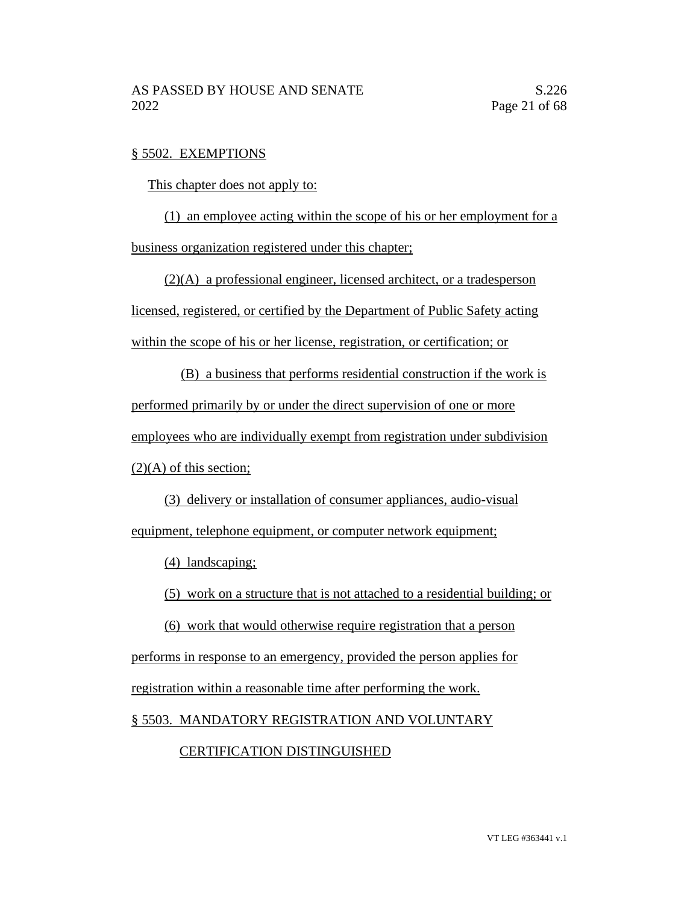### § 5502. EXEMPTIONS

This chapter does not apply to:

(1) an employee acting within the scope of his or her employment for a business organization registered under this chapter;

(2)(A) a professional engineer, licensed architect, or a tradesperson licensed, registered, or certified by the Department of Public Safety acting within the scope of his or her license, registration, or certification; or

(B) a business that performs residential construction if the work is performed primarily by or under the direct supervision of one or more employees who are individually exempt from registration under subdivision  $(2)(A)$  of this section;

(3) delivery or installation of consumer appliances, audio-visual equipment, telephone equipment, or computer network equipment;

(4) landscaping;

(5) work on a structure that is not attached to a residential building; or

(6) work that would otherwise require registration that a person performs in response to an emergency, provided the person applies for registration within a reasonable time after performing the work.

§ 5503. MANDATORY REGISTRATION AND VOLUNTARY

# CERTIFICATION DISTINGUISHED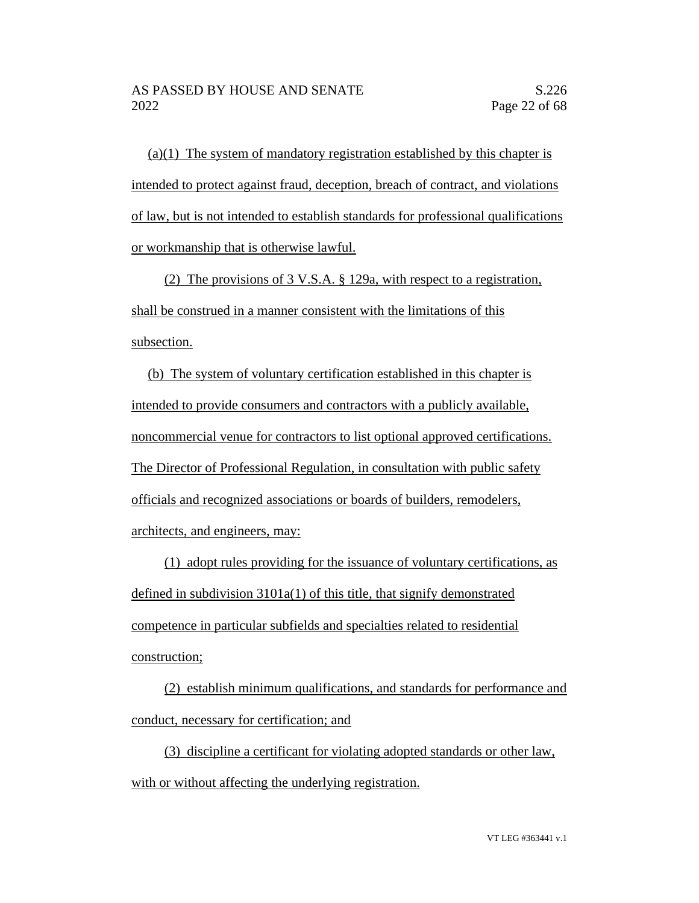(a)(1) The system of mandatory registration established by this chapter is intended to protect against fraud, deception, breach of contract, and violations of law, but is not intended to establish standards for professional qualifications or workmanship that is otherwise lawful.

(2) The provisions of 3 V.S.A. § 129a, with respect to a registration, shall be construed in a manner consistent with the limitations of this subsection.

(b) The system of voluntary certification established in this chapter is intended to provide consumers and contractors with a publicly available, noncommercial venue for contractors to list optional approved certifications. The Director of Professional Regulation, in consultation with public safety officials and recognized associations or boards of builders, remodelers, architects, and engineers, may:

(1) adopt rules providing for the issuance of voluntary certifications, as defined in subdivision 3101a(1) of this title, that signify demonstrated competence in particular subfields and specialties related to residential construction;

(2) establish minimum qualifications, and standards for performance and conduct, necessary for certification; and

(3) discipline a certificant for violating adopted standards or other law, with or without affecting the underlying registration.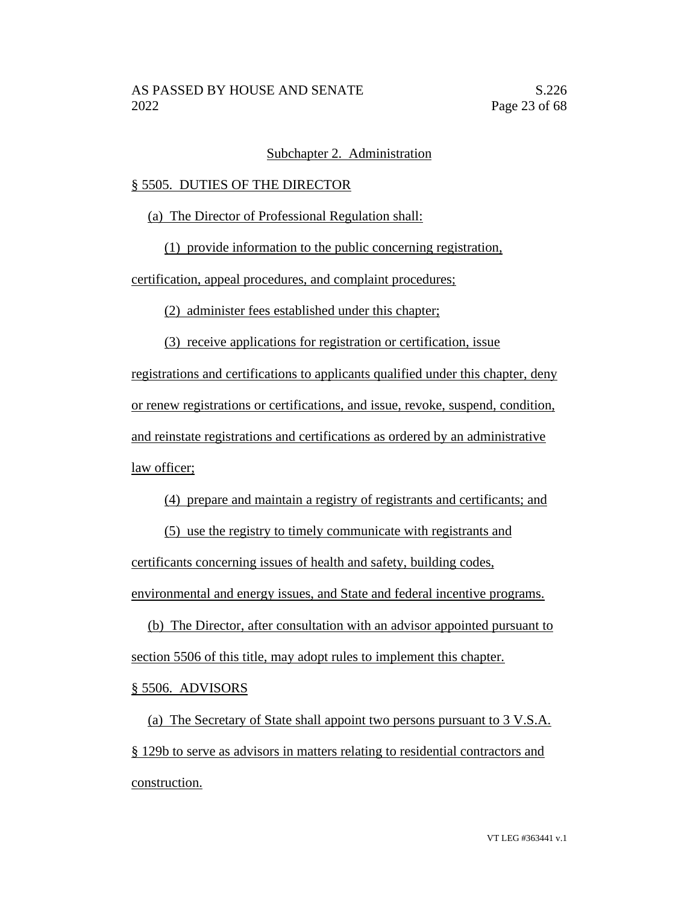### Subchapter 2. Administration

### § 5505. DUTIES OF THE DIRECTOR

(a) The Director of Professional Regulation shall:

(1) provide information to the public concerning registration,

certification, appeal procedures, and complaint procedures;

(2) administer fees established under this chapter;

(3) receive applications for registration or certification, issue

registrations and certifications to applicants qualified under this chapter, deny or renew registrations or certifications, and issue, revoke, suspend, condition, and reinstate registrations and certifications as ordered by an administrative law officer;

(4) prepare and maintain a registry of registrants and certificants; and

(5) use the registry to timely communicate with registrants and certificants concerning issues of health and safety, building codes, environmental and energy issues, and State and federal incentive programs.

(b) The Director, after consultation with an advisor appointed pursuant to section 5506 of this title, may adopt rules to implement this chapter.

# § 5506. ADVISORS

(a) The Secretary of State shall appoint two persons pursuant to 3 V.S.A. § 129b to serve as advisors in matters relating to residential contractors and construction.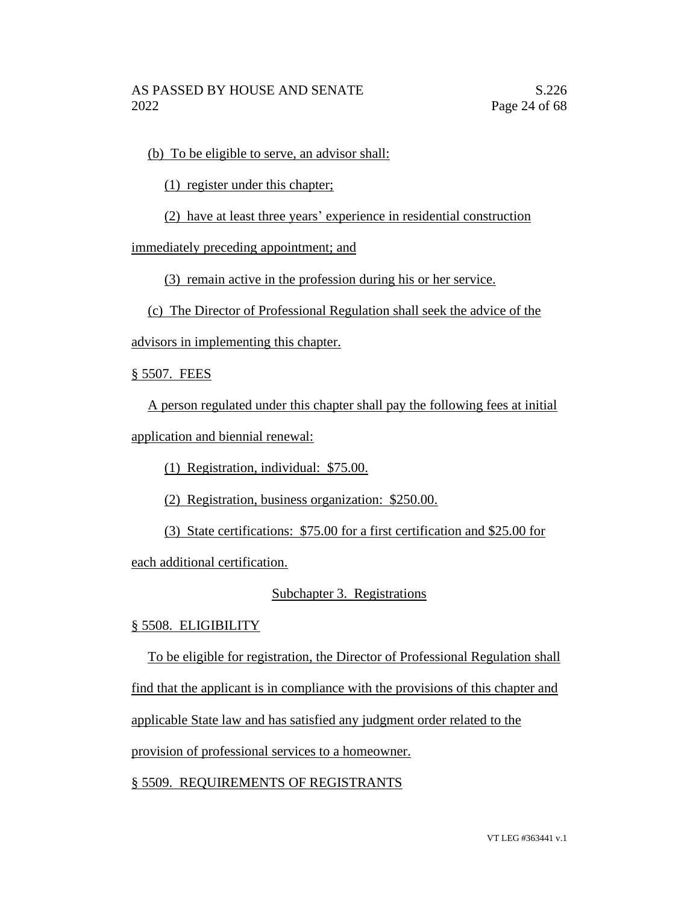(b) To be eligible to serve, an advisor shall:

(1) register under this chapter;

(2) have at least three years' experience in residential construction

immediately preceding appointment; and

(3) remain active in the profession during his or her service.

(c) The Director of Professional Regulation shall seek the advice of the

advisors in implementing this chapter.

§ 5507. FEES

A person regulated under this chapter shall pay the following fees at initial application and biennial renewal:

(1) Registration, individual: \$75.00.

(2) Registration, business organization: \$250.00.

(3) State certifications: \$75.00 for a first certification and \$25.00 for

each additional certification.

# Subchapter 3. Registrations

# § 5508. ELIGIBILITY

To be eligible for registration, the Director of Professional Regulation shall

find that the applicant is in compliance with the provisions of this chapter and

applicable State law and has satisfied any judgment order related to the

provision of professional services to a homeowner.

§ 5509. REQUIREMENTS OF REGISTRANTS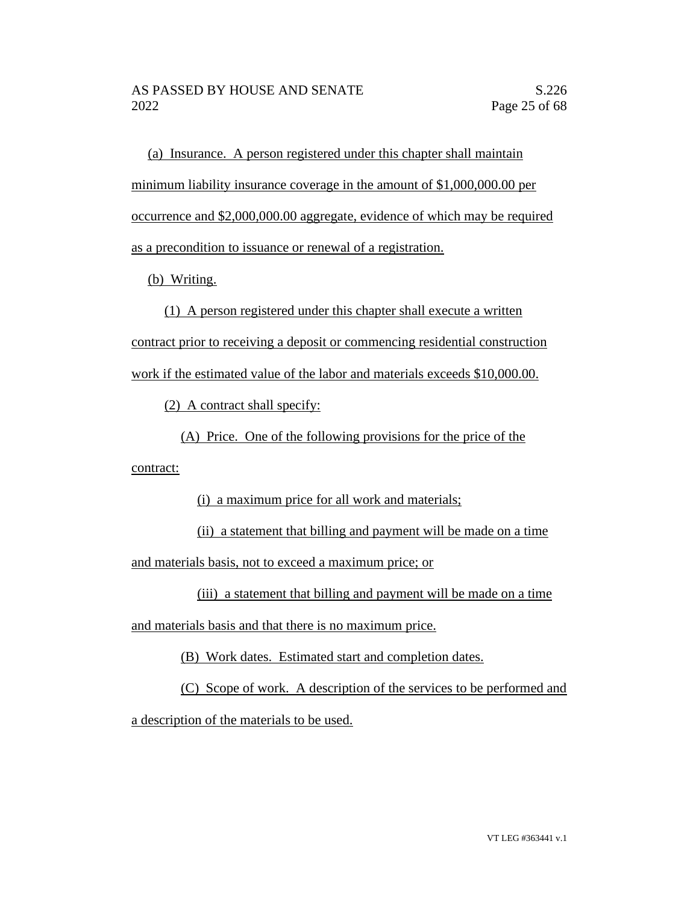(a) Insurance. A person registered under this chapter shall maintain minimum liability insurance coverage in the amount of \$1,000,000.00 per occurrence and \$2,000,000.00 aggregate, evidence of which may be required as a precondition to issuance or renewal of a registration.

(b) Writing.

(1) A person registered under this chapter shall execute a written contract prior to receiving a deposit or commencing residential construction work if the estimated value of the labor and materials exceeds \$10,000.00.

(2) A contract shall specify:

(A) Price. One of the following provisions for the price of the

contract:

(i) a maximum price for all work and materials;

(ii) a statement that billing and payment will be made on a time and materials basis, not to exceed a maximum price; or

(iii) a statement that billing and payment will be made on a time

and materials basis and that there is no maximum price.

(B) Work dates. Estimated start and completion dates.

(C) Scope of work. A description of the services to be performed and a description of the materials to be used.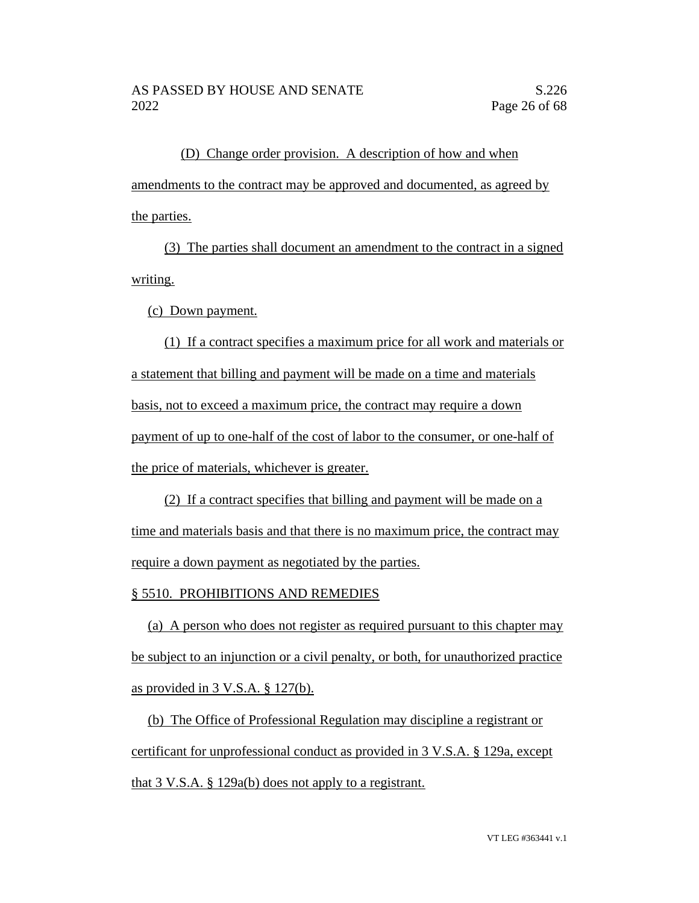(D) Change order provision. A description of how and when amendments to the contract may be approved and documented, as agreed by the parties.

(3) The parties shall document an amendment to the contract in a signed writing.

(c) Down payment.

(1) If a contract specifies a maximum price for all work and materials or a statement that billing and payment will be made on a time and materials basis, not to exceed a maximum price, the contract may require a down payment of up to one-half of the cost of labor to the consumer, or one-half of the price of materials, whichever is greater.

(2) If a contract specifies that billing and payment will be made on a time and materials basis and that there is no maximum price, the contract may require a down payment as negotiated by the parties.

# § 5510. PROHIBITIONS AND REMEDIES

(a) A person who does not register as required pursuant to this chapter may be subject to an injunction or a civil penalty, or both, for unauthorized practice as provided in 3 V.S.A. § 127(b).

(b) The Office of Professional Regulation may discipline a registrant or certificant for unprofessional conduct as provided in 3 V.S.A. § 129a, except that 3 V.S.A. § 129a(b) does not apply to a registrant.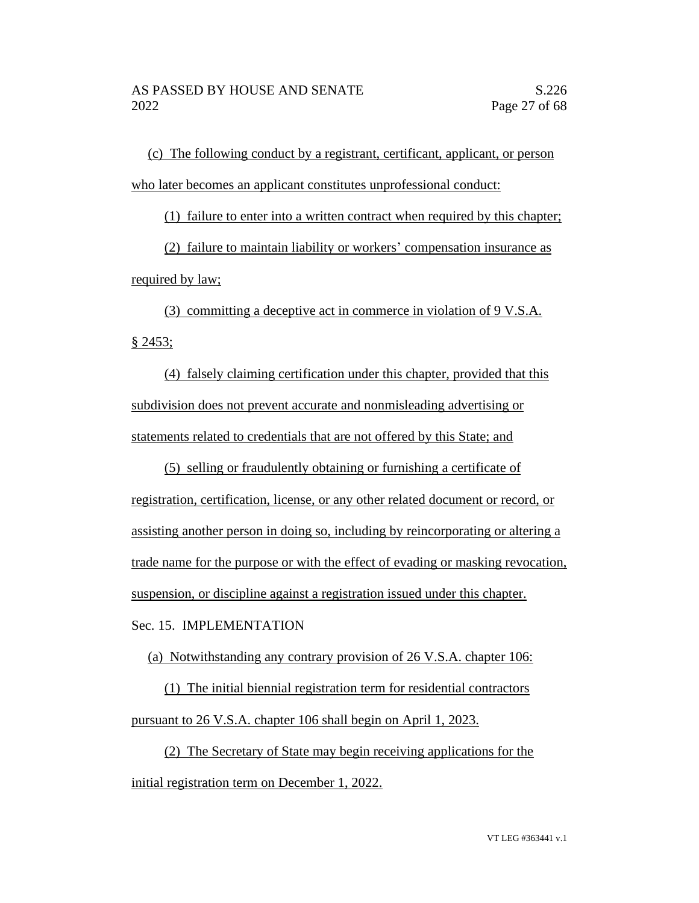(c) The following conduct by a registrant, certificant, applicant, or person who later becomes an applicant constitutes unprofessional conduct:

(1) failure to enter into a written contract when required by this chapter;

(2) failure to maintain liability or workers' compensation insurance as required by law;

(3) committing a deceptive act in commerce in violation of 9 V.S.A. § 2453;

(4) falsely claiming certification under this chapter, provided that this subdivision does not prevent accurate and nonmisleading advertising or statements related to credentials that are not offered by this State; and

(5) selling or fraudulently obtaining or furnishing a certificate of registration, certification, license, or any other related document or record, or assisting another person in doing so, including by reincorporating or altering a trade name for the purpose or with the effect of evading or masking revocation, suspension, or discipline against a registration issued under this chapter.

Sec. 15. IMPLEMENTATION

(a) Notwithstanding any contrary provision of 26 V.S.A. chapter 106:

(1) The initial biennial registration term for residential contractors pursuant to 26 V.S.A. chapter 106 shall begin on April 1, 2023.

(2) The Secretary of State may begin receiving applications for the initial registration term on December 1, 2022.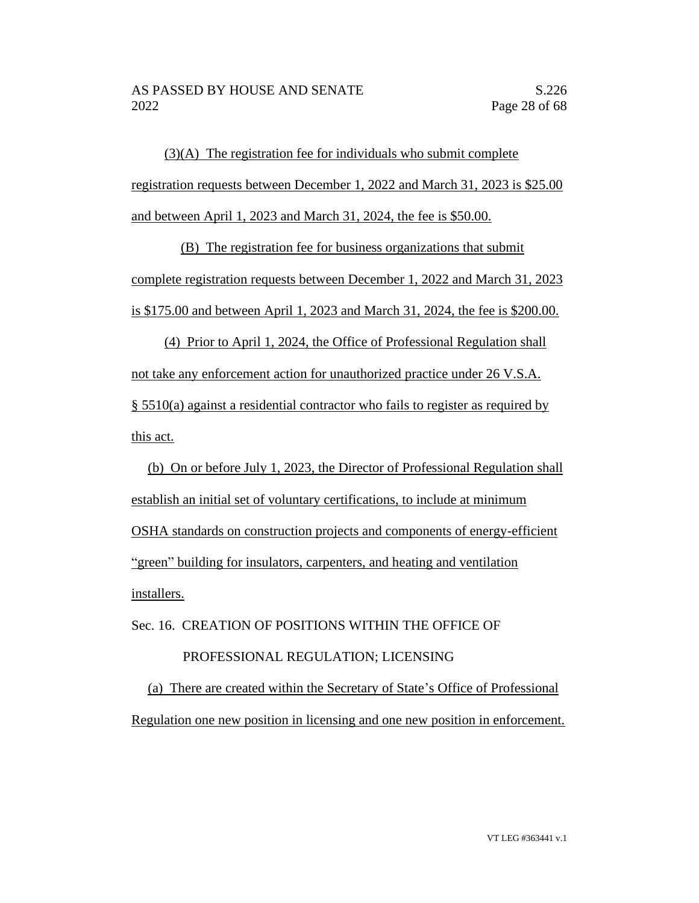(3)(A) The registration fee for individuals who submit complete registration requests between December 1, 2022 and March 31, 2023 is \$25.00 and between April 1, 2023 and March 31, 2024, the fee is \$50.00.

(B) The registration fee for business organizations that submit complete registration requests between December 1, 2022 and March 31, 2023 is \$175.00 and between April 1, 2023 and March 31, 2024, the fee is \$200.00.

(4) Prior to April 1, 2024, the Office of Professional Regulation shall not take any enforcement action for unauthorized practice under 26 V.S.A. § 5510(a) against a residential contractor who fails to register as required by this act.

(b) On or before July 1, 2023, the Director of Professional Regulation shall establish an initial set of voluntary certifications, to include at minimum OSHA standards on construction projects and components of energy-efficient "green" building for insulators, carpenters, and heating and ventilation installers.

Sec. 16. CREATION OF POSITIONS WITHIN THE OFFICE OF PROFESSIONAL REGULATION; LICENSING (a) There are created within the Secretary of State's Office of Professional Regulation one new position in licensing and one new position in enforcement.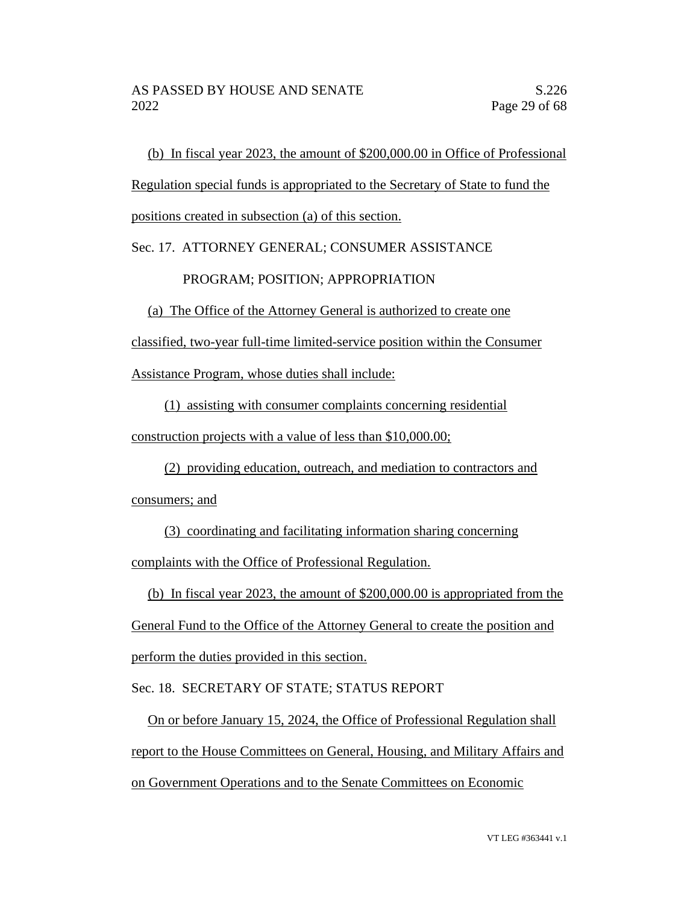(b) In fiscal year 2023, the amount of \$200,000.00 in Office of Professional

Regulation special funds is appropriated to the Secretary of State to fund the

positions created in subsection (a) of this section.

### Sec. 17. ATTORNEY GENERAL; CONSUMER ASSISTANCE

### PROGRAM; POSITION; APPROPRIATION

(a) The Office of the Attorney General is authorized to create one

classified, two-year full-time limited-service position within the Consumer

Assistance Program, whose duties shall include:

(1) assisting with consumer complaints concerning residential

construction projects with a value of less than \$10,000.00;

(2) providing education, outreach, and mediation to contractors and consumers; and

(3) coordinating and facilitating information sharing concerning complaints with the Office of Professional Regulation.

(b) In fiscal year 2023, the amount of \$200,000.00 is appropriated from the

General Fund to the Office of the Attorney General to create the position and perform the duties provided in this section.

Sec. 18. SECRETARY OF STATE; STATUS REPORT

On or before January 15, 2024, the Office of Professional Regulation shall report to the House Committees on General, Housing, and Military Affairs and on Government Operations and to the Senate Committees on Economic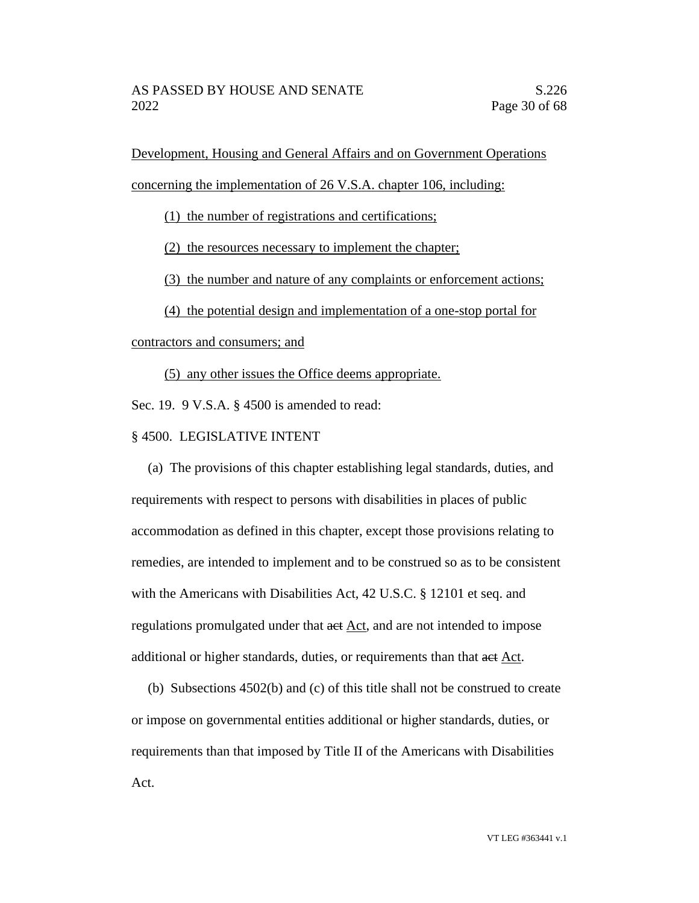Development, Housing and General Affairs and on Government Operations

concerning the implementation of 26 V.S.A. chapter 106, including:

(1) the number of registrations and certifications;

(2) the resources necessary to implement the chapter;

(3) the number and nature of any complaints or enforcement actions;

(4) the potential design and implementation of a one-stop portal for

contractors and consumers; and

(5) any other issues the Office deems appropriate.

Sec. 19. 9 V.S.A. § 4500 is amended to read:

# § 4500. LEGISLATIVE INTENT

(a) The provisions of this chapter establishing legal standards, duties, and requirements with respect to persons with disabilities in places of public accommodation as defined in this chapter, except those provisions relating to remedies, are intended to implement and to be construed so as to be consistent with the Americans with Disabilities Act, 42 U.S.C. § 12101 et seq. and regulations promulgated under that act Act, and are not intended to impose additional or higher standards, duties, or requirements than that act Act.

(b) Subsections 4502(b) and (c) of this title shall not be construed to create or impose on governmental entities additional or higher standards, duties, or requirements than that imposed by Title II of the Americans with Disabilities Act.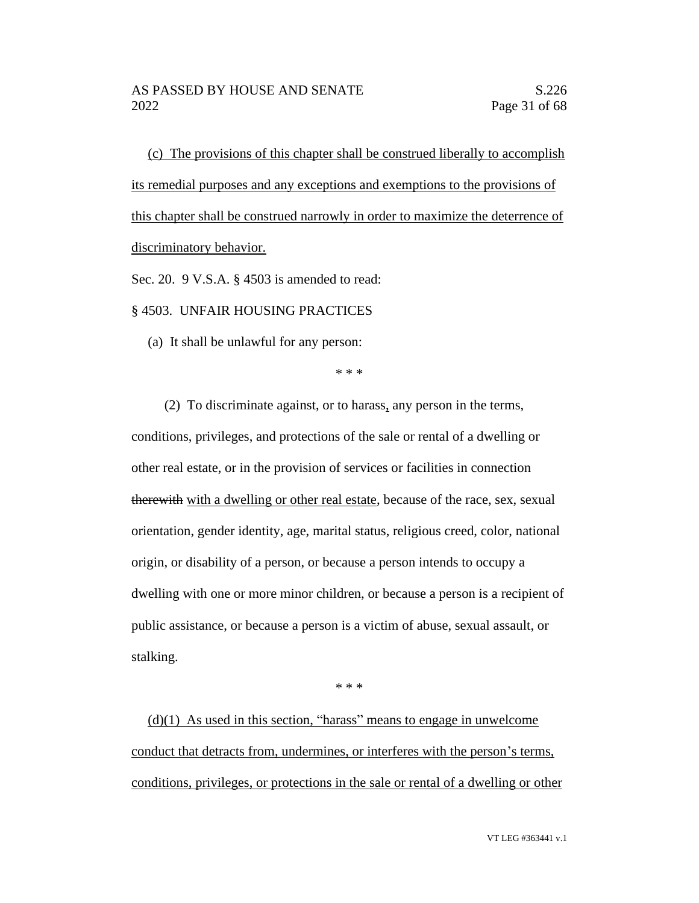(c) The provisions of this chapter shall be construed liberally to accomplish its remedial purposes and any exceptions and exemptions to the provisions of this chapter shall be construed narrowly in order to maximize the deterrence of discriminatory behavior.

Sec. 20. 9 V.S.A. § 4503 is amended to read:

§ 4503. UNFAIR HOUSING PRACTICES

(a) It shall be unlawful for any person:

\* \* \*

(2) To discriminate against, or to harass, any person in the terms, conditions, privileges, and protections of the sale or rental of a dwelling or other real estate, or in the provision of services or facilities in connection therewith with a dwelling or other real estate, because of the race, sex, sexual orientation, gender identity, age, marital status, religious creed, color, national origin, or disability of a person, or because a person intends to occupy a dwelling with one or more minor children, or because a person is a recipient of public assistance, or because a person is a victim of abuse, sexual assault, or stalking.

\* \* \*

 $(d)(1)$  As used in this section, "harass" means to engage in unwelcome conduct that detracts from, undermines, or interferes with the person's terms, conditions, privileges, or protections in the sale or rental of a dwelling or other

VT LEG #363441 v.1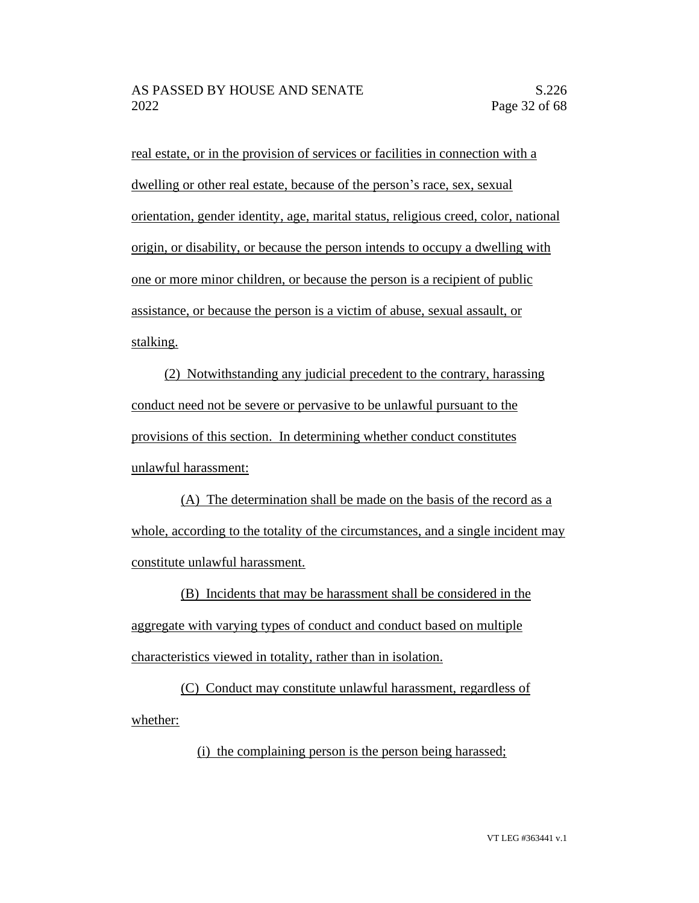real estate, or in the provision of services or facilities in connection with a dwelling or other real estate, because of the person's race, sex, sexual orientation, gender identity, age, marital status, religious creed, color, national origin, or disability, or because the person intends to occupy a dwelling with one or more minor children, or because the person is a recipient of public assistance, or because the person is a victim of abuse, sexual assault, or stalking.

(2) Notwithstanding any judicial precedent to the contrary, harassing conduct need not be severe or pervasive to be unlawful pursuant to the provisions of this section. In determining whether conduct constitutes unlawful harassment:

(A) The determination shall be made on the basis of the record as a whole, according to the totality of the circumstances, and a single incident may constitute unlawful harassment.

(B) Incidents that may be harassment shall be considered in the aggregate with varying types of conduct and conduct based on multiple characteristics viewed in totality, rather than in isolation.

(C) Conduct may constitute unlawful harassment, regardless of whether:

(i) the complaining person is the person being harassed;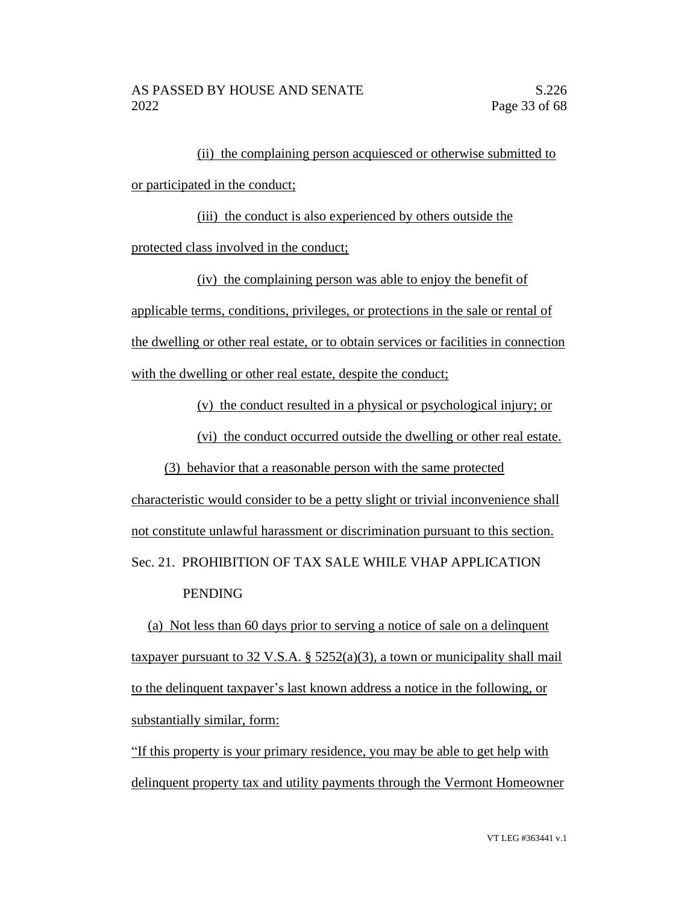(ii) the complaining person acquiesced or otherwise submitted to or participated in the conduct;

(iii) the conduct is also experienced by others outside the protected class involved in the conduct;

(iv) the complaining person was able to enjoy the benefit of applicable terms, conditions, privileges, or protections in the sale or rental of the dwelling or other real estate, or to obtain services or facilities in connection with the dwelling or other real estate, despite the conduct;

(v) the conduct resulted in a physical or psychological injury; or

(vi) the conduct occurred outside the dwelling or other real estate.

(3) behavior that a reasonable person with the same protected characteristic would consider to be a petty slight or trivial inconvenience shall not constitute unlawful harassment or discrimination pursuant to this section. Sec. 21. PROHIBITION OF TAX SALE WHILE VHAP APPLICATION PENDING

(a) Not less than 60 days prior to serving a notice of sale on a delinquent taxpayer pursuant to 32 V.S.A.  $\S$  5252(a)(3), a town or municipality shall mail to the delinquent taxpayer's last known address a notice in the following, or substantially similar, form:

"If this property is your primary residence, you may be able to get help with delinquent property tax and utility payments through the Vermont Homeowner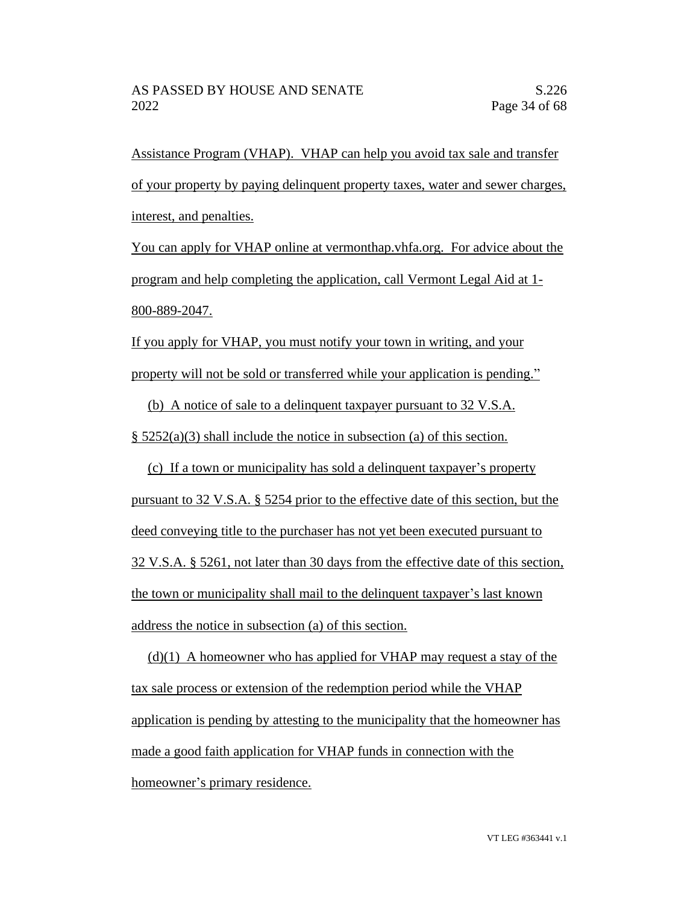Assistance Program (VHAP). VHAP can help you avoid tax sale and transfer of your property by paying delinquent property taxes, water and sewer charges, interest, and penalties.

You can apply for VHAP online at vermonthap.vhfa.org. For advice about the program and help completing the application, call Vermont Legal Aid at 1- 800-889-2047.

If you apply for VHAP, you must notify your town in writing, and your property will not be sold or transferred while your application is pending."

(b) A notice of sale to a delinquent taxpayer pursuant to 32 V.S.A.

§ 5252(a)(3) shall include the notice in subsection (a) of this section.

(c) If a town or municipality has sold a delinquent taxpayer's property pursuant to 32 V.S.A. § 5254 prior to the effective date of this section, but the deed conveying title to the purchaser has not yet been executed pursuant to 32 V.S.A. § 5261, not later than 30 days from the effective date of this section, the town or municipality shall mail to the delinquent taxpayer's last known address the notice in subsection (a) of this section.

 $(d)(1)$  A homeowner who has applied for VHAP may request a stay of the tax sale process or extension of the redemption period while the VHAP application is pending by attesting to the municipality that the homeowner has made a good faith application for VHAP funds in connection with the homeowner's primary residence.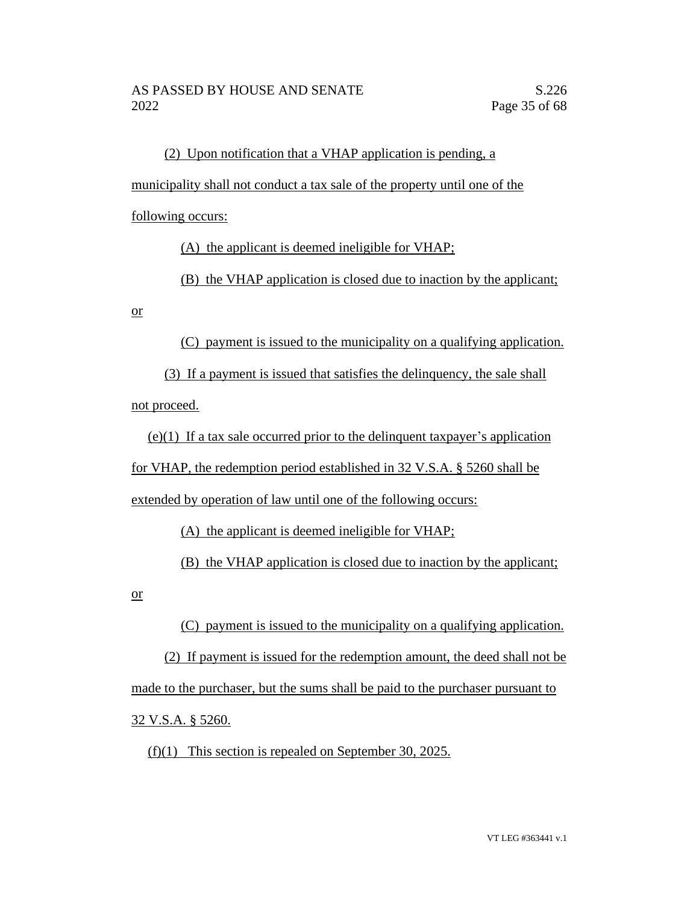(2) Upon notification that a VHAP application is pending, a municipality shall not conduct a tax sale of the property until one of the following occurs:

(A) the applicant is deemed ineligible for VHAP;

(B) the VHAP application is closed due to inaction by the applicant;

or

(C) payment is issued to the municipality on a qualifying application.

(3) If a payment is issued that satisfies the delinquency, the sale shall not proceed.

(e)(1) If a tax sale occurred prior to the delinquent taxpayer's application for VHAP, the redemption period established in 32 V.S.A. § 5260 shall be extended by operation of law until one of the following occurs:

(A) the applicant is deemed ineligible for VHAP;

(B) the VHAP application is closed due to inaction by the applicant;

or

(C) payment is issued to the municipality on a qualifying application.

(2) If payment is issued for the redemption amount, the deed shall not be made to the purchaser, but the sums shall be paid to the purchaser pursuant to 32 V.S.A. § 5260.

(f)(1) This section is repealed on September 30, 2025.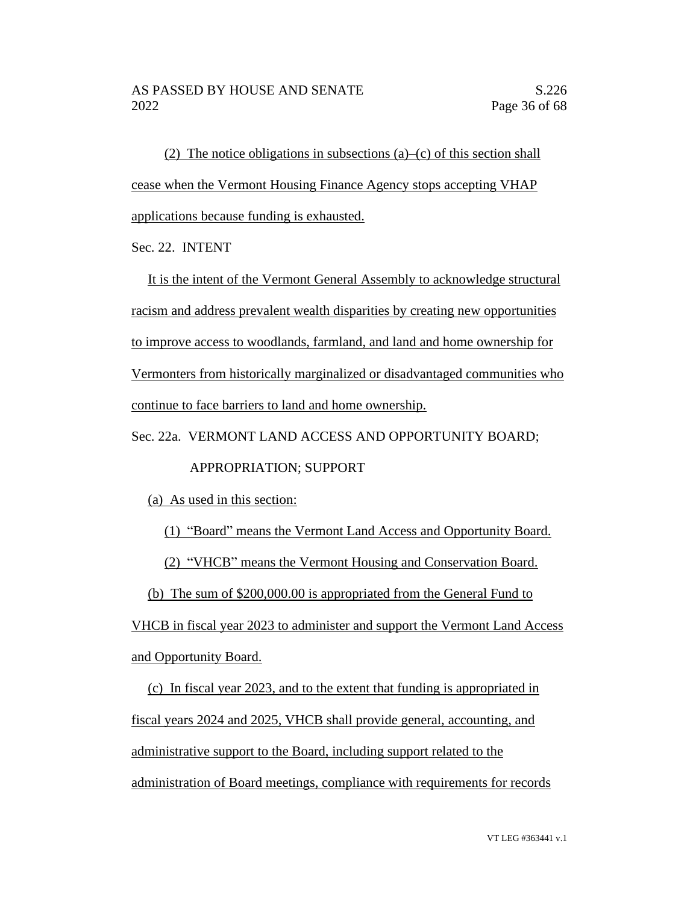(2) The notice obligations in subsections (a)–(c) of this section shall cease when the Vermont Housing Finance Agency stops accepting VHAP applications because funding is exhausted.

Sec. 22. INTENT

It is the intent of the Vermont General Assembly to acknowledge structural racism and address prevalent wealth disparities by creating new opportunities to improve access to woodlands, farmland, and land and home ownership for Vermonters from historically marginalized or disadvantaged communities who continue to face barriers to land and home ownership.

Sec. 22a. VERMONT LAND ACCESS AND OPPORTUNITY BOARD;

# APPROPRIATION; SUPPORT

(a) As used in this section:

(1) "Board" means the Vermont Land Access and Opportunity Board.

(2) "VHCB" means the Vermont Housing and Conservation Board.

(b) The sum of \$200,000.00 is appropriated from the General Fund to

VHCB in fiscal year 2023 to administer and support the Vermont Land Access and Opportunity Board.

(c) In fiscal year 2023, and to the extent that funding is appropriated in fiscal years 2024 and 2025, VHCB shall provide general, accounting, and administrative support to the Board, including support related to the administration of Board meetings, compliance with requirements for records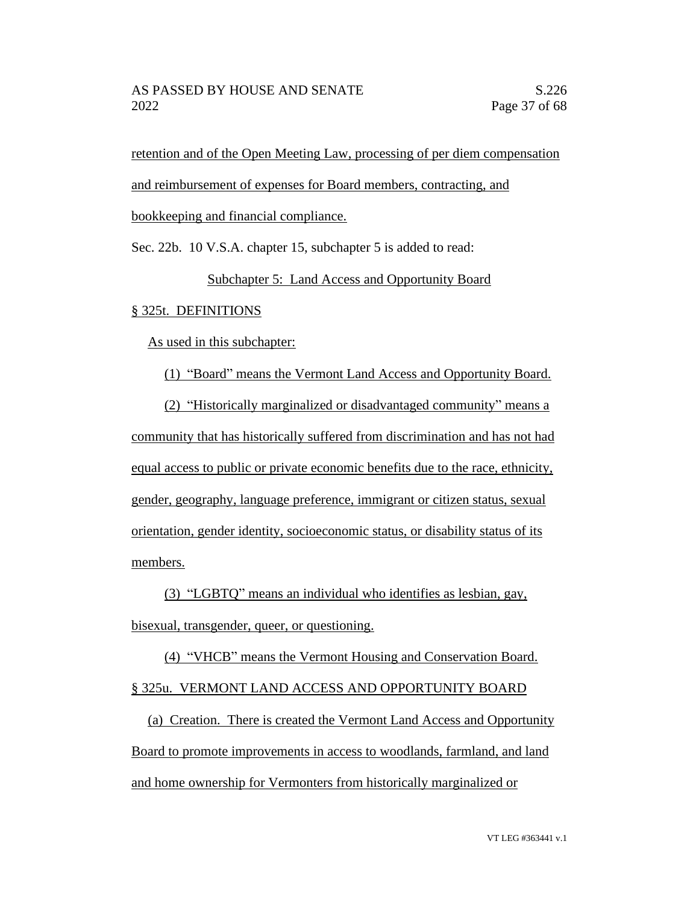retention and of the Open Meeting Law, processing of per diem compensation

and reimbursement of expenses for Board members, contracting, and

bookkeeping and financial compliance.

Sec. 22b. 10 V.S.A. chapter 15, subchapter 5 is added to read:

# Subchapter 5: Land Access and Opportunity Board

# § 325t. DEFINITIONS

As used in this subchapter:

(1) "Board" means the Vermont Land Access and Opportunity Board.

(2) "Historically marginalized or disadvantaged community" means a community that has historically suffered from discrimination and has not had equal access to public or private economic benefits due to the race, ethnicity, gender, geography, language preference, immigrant or citizen status, sexual orientation, gender identity, socioeconomic status, or disability status of its members.

(3) "LGBTQ" means an individual who identifies as lesbian, gay,

bisexual, transgender, queer, or questioning.

(4) "VHCB" means the Vermont Housing and Conservation Board.

# § 325u. VERMONT LAND ACCESS AND OPPORTUNITY BOARD

(a) Creation. There is created the Vermont Land Access and Opportunity Board to promote improvements in access to woodlands, farmland, and land and home ownership for Vermonters from historically marginalized or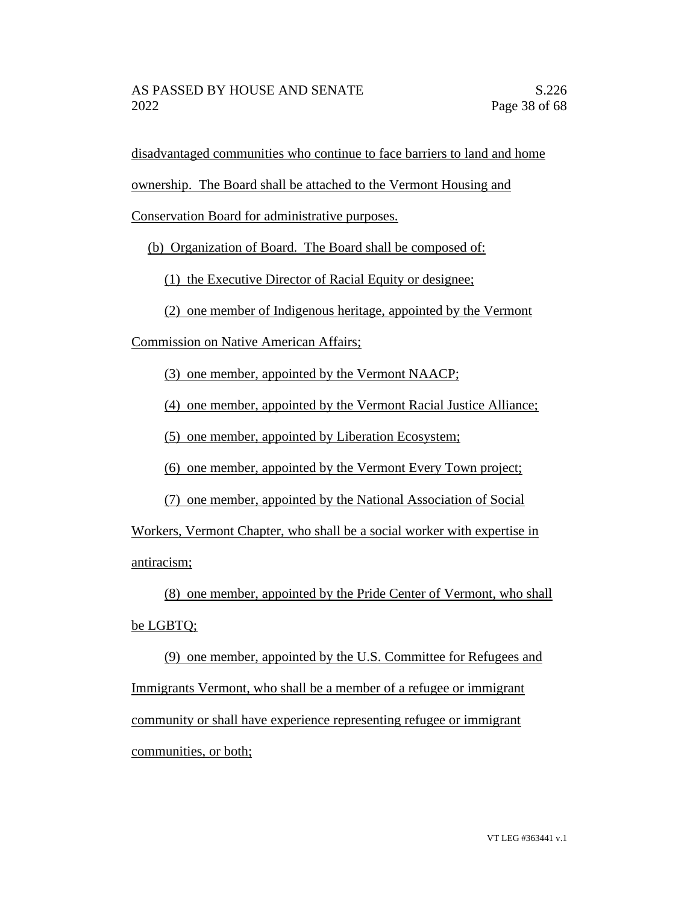disadvantaged communities who continue to face barriers to land and home

ownership. The Board shall be attached to the Vermont Housing and

Conservation Board for administrative purposes.

(b) Organization of Board. The Board shall be composed of:

(1) the Executive Director of Racial Equity or designee;

(2) one member of Indigenous heritage, appointed by the Vermont

Commission on Native American Affairs;

(3) one member, appointed by the Vermont NAACP;

(4) one member, appointed by the Vermont Racial Justice Alliance;

(5) one member, appointed by Liberation Ecosystem;

(6) one member, appointed by the Vermont Every Town project;

(7) one member, appointed by the National Association of Social

Workers, Vermont Chapter, who shall be a social worker with expertise in antiracism;

(8) one member, appointed by the Pride Center of Vermont, who shall

# be LGBTQ;

(9) one member, appointed by the U.S. Committee for Refugees and Immigrants Vermont, who shall be a member of a refugee or immigrant community or shall have experience representing refugee or immigrant communities, or both;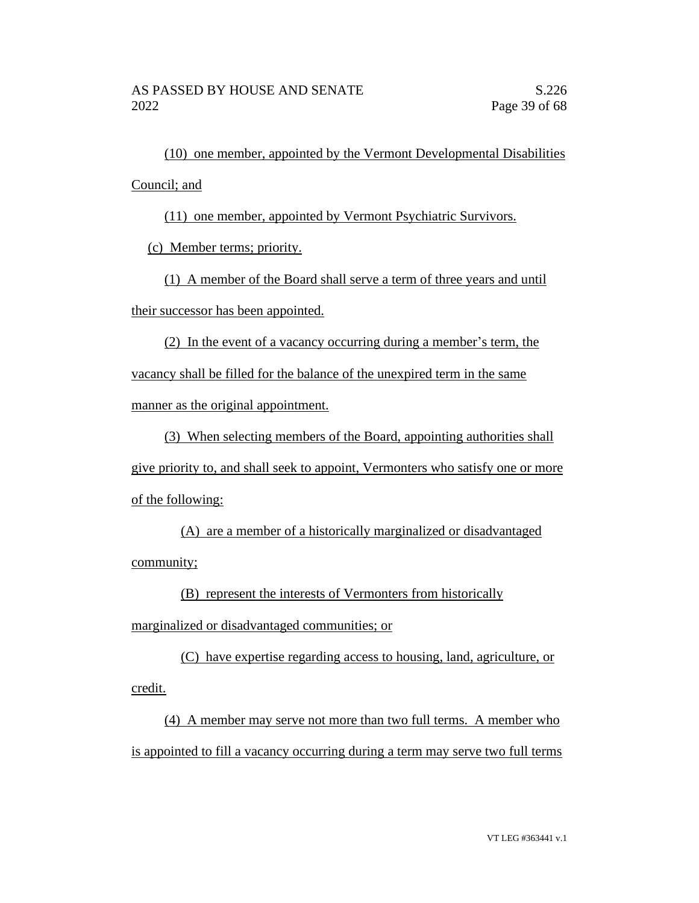(10) one member, appointed by the Vermont Developmental Disabilities Council; and

(11) one member, appointed by Vermont Psychiatric Survivors.

(c) Member terms; priority.

(1) A member of the Board shall serve a term of three years and until their successor has been appointed.

(2) In the event of a vacancy occurring during a member's term, the vacancy shall be filled for the balance of the unexpired term in the same manner as the original appointment.

(3) When selecting members of the Board, appointing authorities shall give priority to, and shall seek to appoint, Vermonters who satisfy one or more of the following:

(A) are a member of a historically marginalized or disadvantaged community;

(B) represent the interests of Vermonters from historically

marginalized or disadvantaged communities; or

(C) have expertise regarding access to housing, land, agriculture, or credit.

(4) A member may serve not more than two full terms. A member who is appointed to fill a vacancy occurring during a term may serve two full terms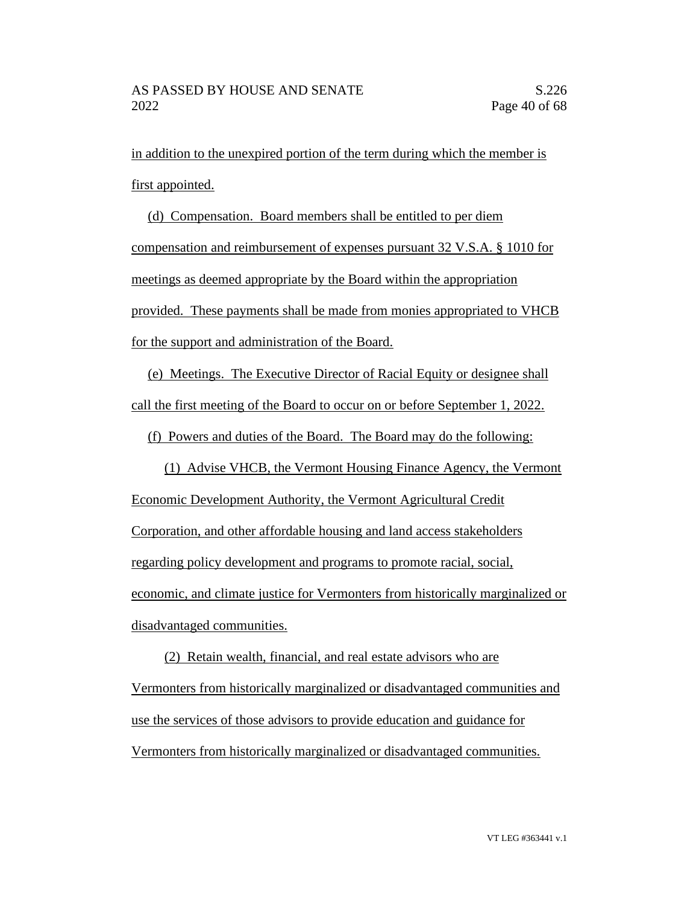in addition to the unexpired portion of the term during which the member is first appointed.

(d) Compensation. Board members shall be entitled to per diem compensation and reimbursement of expenses pursuant 32 V.S.A. § 1010 for meetings as deemed appropriate by the Board within the appropriation provided. These payments shall be made from monies appropriated to VHCB for the support and administration of the Board.

(e) Meetings. The Executive Director of Racial Equity or designee shall call the first meeting of the Board to occur on or before September 1, 2022.

(f) Powers and duties of the Board. The Board may do the following:

(1) Advise VHCB, the Vermont Housing Finance Agency, the Vermont Economic Development Authority, the Vermont Agricultural Credit Corporation, and other affordable housing and land access stakeholders regarding policy development and programs to promote racial, social, economic, and climate justice for Vermonters from historically marginalized or disadvantaged communities.

(2) Retain wealth, financial, and real estate advisors who are Vermonters from historically marginalized or disadvantaged communities and use the services of those advisors to provide education and guidance for Vermonters from historically marginalized or disadvantaged communities.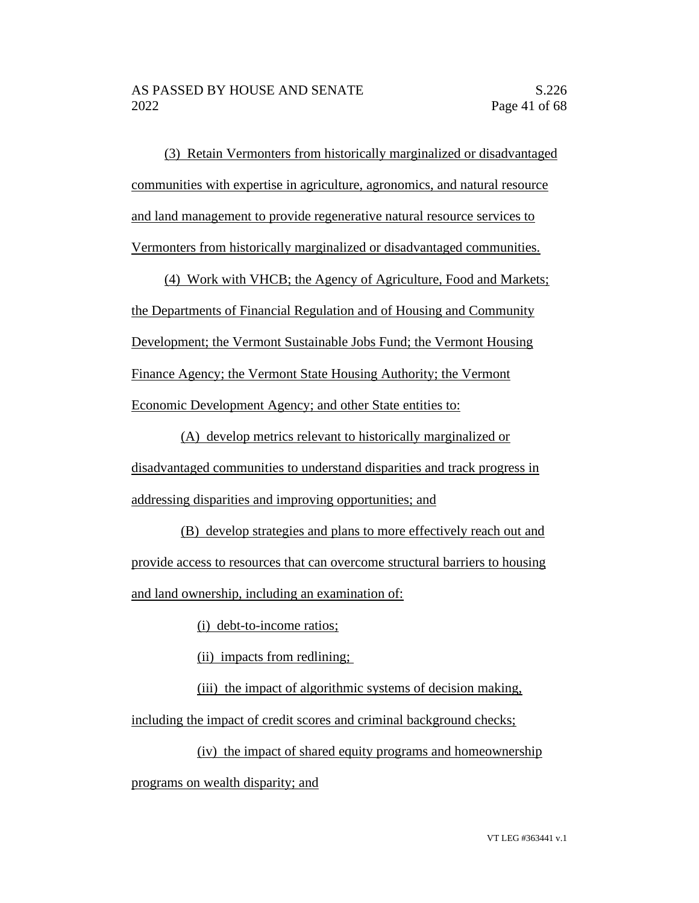(3) Retain Vermonters from historically marginalized or disadvantaged communities with expertise in agriculture, agronomics, and natural resource and land management to provide regenerative natural resource services to Vermonters from historically marginalized or disadvantaged communities.

(4) Work with VHCB; the Agency of Agriculture, Food and Markets; the Departments of Financial Regulation and of Housing and Community Development; the Vermont Sustainable Jobs Fund; the Vermont Housing Finance Agency; the Vermont State Housing Authority; the Vermont Economic Development Agency; and other State entities to:

(A) develop metrics relevant to historically marginalized or disadvantaged communities to understand disparities and track progress in addressing disparities and improving opportunities; and

(B) develop strategies and plans to more effectively reach out and provide access to resources that can overcome structural barriers to housing and land ownership, including an examination of:

(i) debt-to-income ratios;

(ii) impacts from redlining;

(iii) the impact of algorithmic systems of decision making,

including the impact of credit scores and criminal background checks;

(iv) the impact of shared equity programs and homeownership programs on wealth disparity; and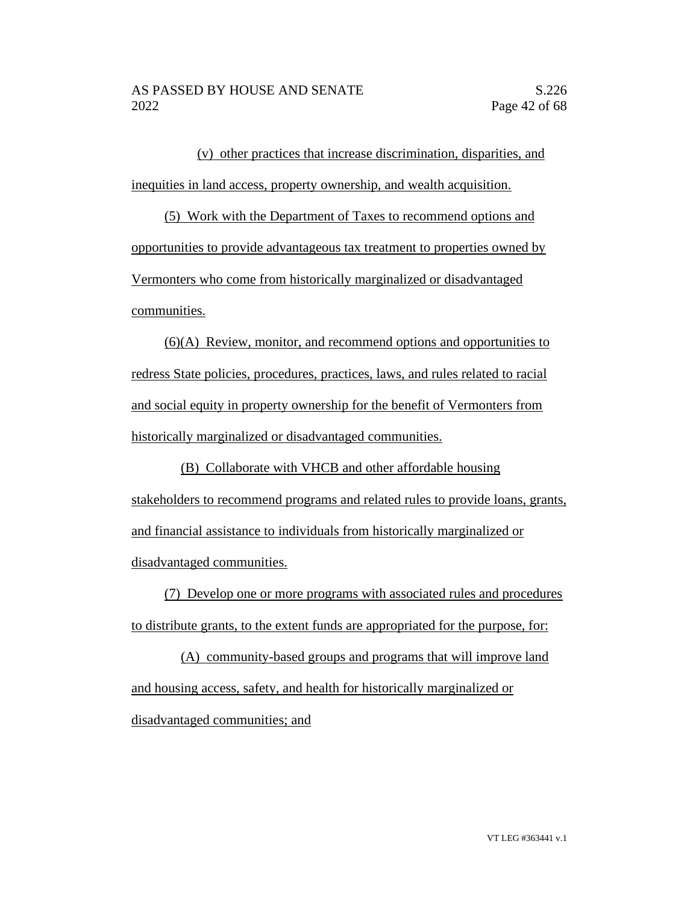(v) other practices that increase discrimination, disparities, and inequities in land access, property ownership, and wealth acquisition.

(5) Work with the Department of Taxes to recommend options and opportunities to provide advantageous tax treatment to properties owned by Vermonters who come from historically marginalized or disadvantaged communities.

(6)(A) Review, monitor, and recommend options and opportunities to redress State policies, procedures, practices, laws, and rules related to racial and social equity in property ownership for the benefit of Vermonters from historically marginalized or disadvantaged communities.

(B) Collaborate with VHCB and other affordable housing stakeholders to recommend programs and related rules to provide loans, grants, and financial assistance to individuals from historically marginalized or disadvantaged communities.

(7) Develop one or more programs with associated rules and procedures to distribute grants, to the extent funds are appropriated for the purpose, for:

(A) community-based groups and programs that will improve land and housing access, safety, and health for historically marginalized or disadvantaged communities; and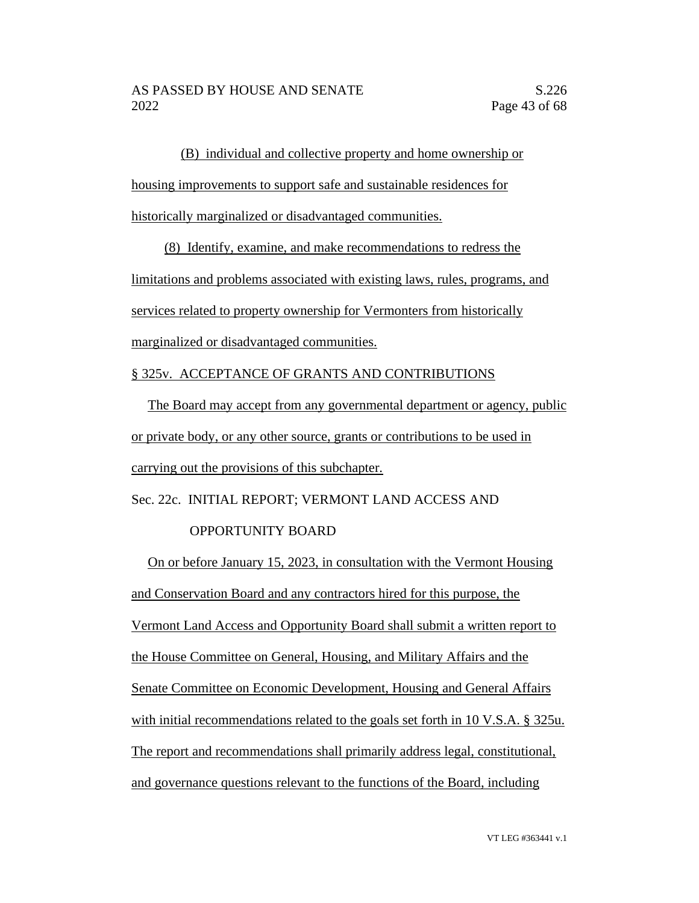(B) individual and collective property and home ownership or housing improvements to support safe and sustainable residences for historically marginalized or disadvantaged communities.

(8) Identify, examine, and make recommendations to redress the limitations and problems associated with existing laws, rules, programs, and services related to property ownership for Vermonters from historically marginalized or disadvantaged communities.

§ 325v. ACCEPTANCE OF GRANTS AND CONTRIBUTIONS

The Board may accept from any governmental department or agency, public or private body, or any other source, grants or contributions to be used in carrying out the provisions of this subchapter.

Sec. 22c. INITIAL REPORT; VERMONT LAND ACCESS AND

### OPPORTUNITY BOARD

On or before January 15, 2023, in consultation with the Vermont Housing and Conservation Board and any contractors hired for this purpose, the Vermont Land Access and Opportunity Board shall submit a written report to the House Committee on General, Housing, and Military Affairs and the Senate Committee on Economic Development, Housing and General Affairs with initial recommendations related to the goals set forth in 10 V.S.A. § 325u. The report and recommendations shall primarily address legal, constitutional, and governance questions relevant to the functions of the Board, including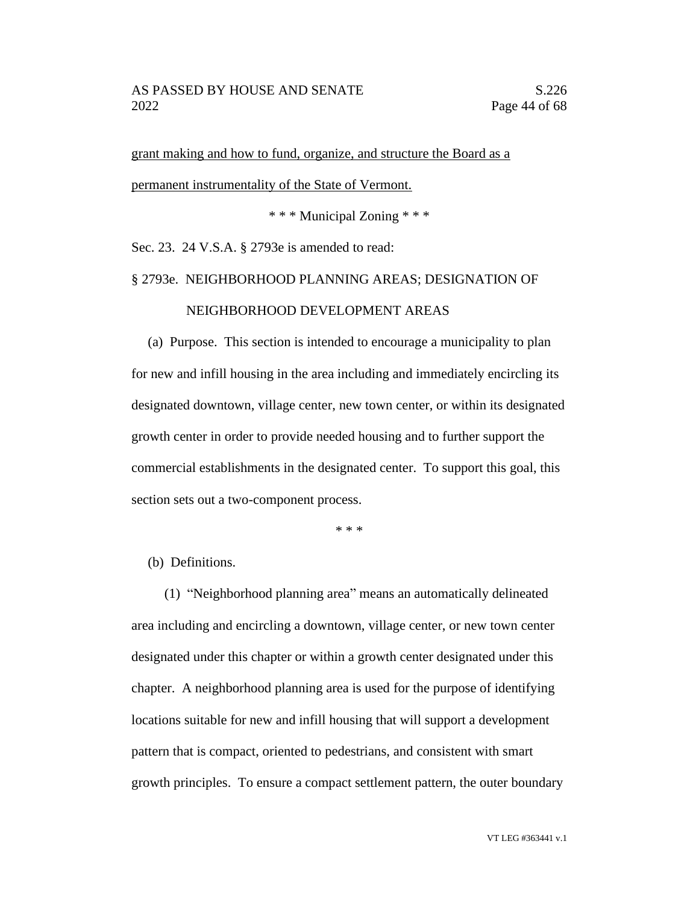grant making and how to fund, organize, and structure the Board as a permanent instrumentality of the State of Vermont.

\* \* \* Municipal Zoning \* \* \*

Sec. 23. 24 V.S.A. § 2793e is amended to read:

# § 2793e. NEIGHBORHOOD PLANNING AREAS; DESIGNATION OF NEIGHBORHOOD DEVELOPMENT AREAS

(a) Purpose. This section is intended to encourage a municipality to plan for new and infill housing in the area including and immediately encircling its designated downtown, village center, new town center, or within its designated growth center in order to provide needed housing and to further support the commercial establishments in the designated center. To support this goal, this section sets out a two-component process.

\* \* \*

#### (b) Definitions.

(1) "Neighborhood planning area" means an automatically delineated area including and encircling a downtown, village center, or new town center designated under this chapter or within a growth center designated under this chapter. A neighborhood planning area is used for the purpose of identifying locations suitable for new and infill housing that will support a development pattern that is compact, oriented to pedestrians, and consistent with smart growth principles. To ensure a compact settlement pattern, the outer boundary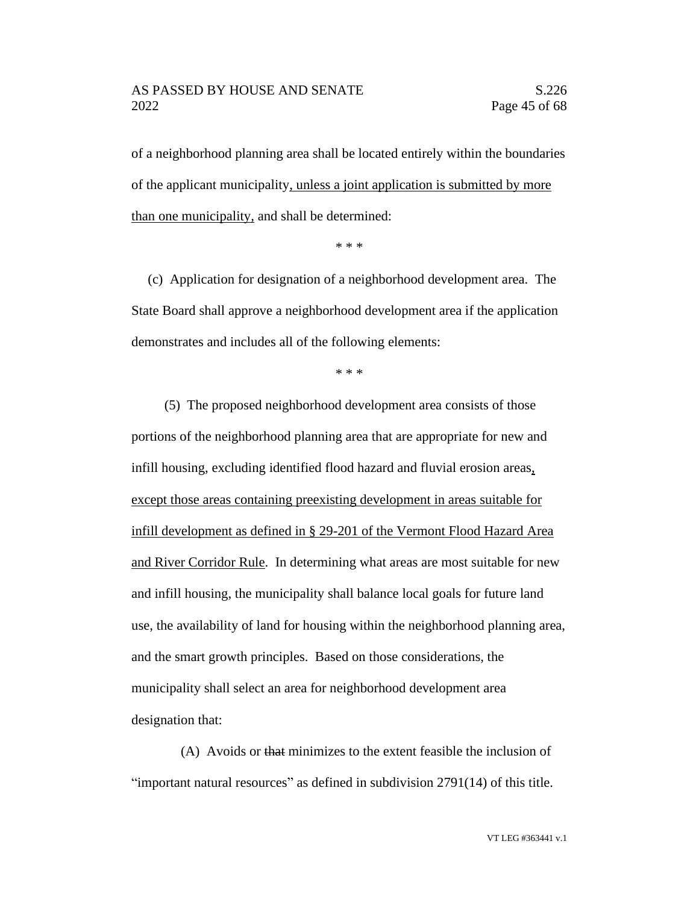### AS PASSED BY HOUSE AND SENATE S.226 2022 Page 45 of 68

of a neighborhood planning area shall be located entirely within the boundaries of the applicant municipality, unless a joint application is submitted by more than one municipality, and shall be determined:

\* \* \*

(c) Application for designation of a neighborhood development area. The State Board shall approve a neighborhood development area if the application demonstrates and includes all of the following elements:

\* \* \*

(5) The proposed neighborhood development area consists of those portions of the neighborhood planning area that are appropriate for new and infill housing, excluding identified flood hazard and fluvial erosion areas, except those areas containing preexisting development in areas suitable for infill development as defined in § 29-201 of the Vermont Flood Hazard Area and River Corridor Rule. In determining what areas are most suitable for new and infill housing, the municipality shall balance local goals for future land use, the availability of land for housing within the neighborhood planning area, and the smart growth principles. Based on those considerations, the municipality shall select an area for neighborhood development area designation that:

(A) Avoids or that minimizes to the extent feasible the inclusion of "important natural resources" as defined in subdivision 2791(14) of this title.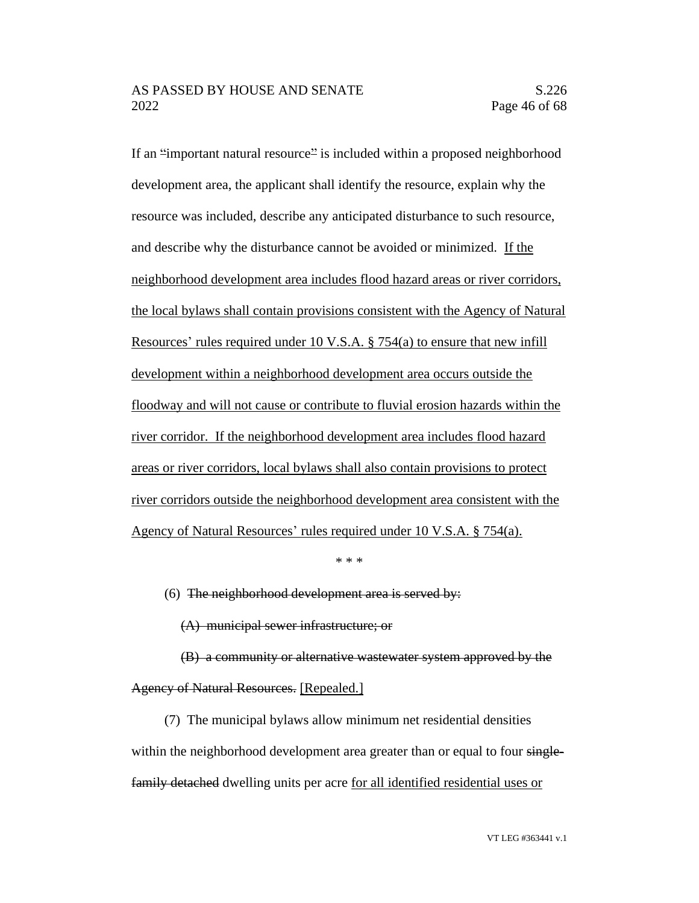If an "important natural resource" is included within a proposed neighborhood development area, the applicant shall identify the resource, explain why the resource was included, describe any anticipated disturbance to such resource, and describe why the disturbance cannot be avoided or minimized. If the neighborhood development area includes flood hazard areas or river corridors, the local bylaws shall contain provisions consistent with the Agency of Natural Resources' rules required under 10 V.S.A. § 754(a) to ensure that new infill development within a neighborhood development area occurs outside the floodway and will not cause or contribute to fluvial erosion hazards within the river corridor. If the neighborhood development area includes flood hazard areas or river corridors, local bylaws shall also contain provisions to protect river corridors outside the neighborhood development area consistent with the Agency of Natural Resources' rules required under 10 V.S.A. § 754(a).

\* \* \*

(6) The neighborhood development area is served by:

(A) municipal sewer infrastructure; or

(B) a community or alternative wastewater system approved by the Agency of Natural Resources. [Repealed.]

(7) The municipal bylaws allow minimum net residential densities within the neighborhood development area greater than or equal to four singlefamily detached dwelling units per acre for all identified residential uses or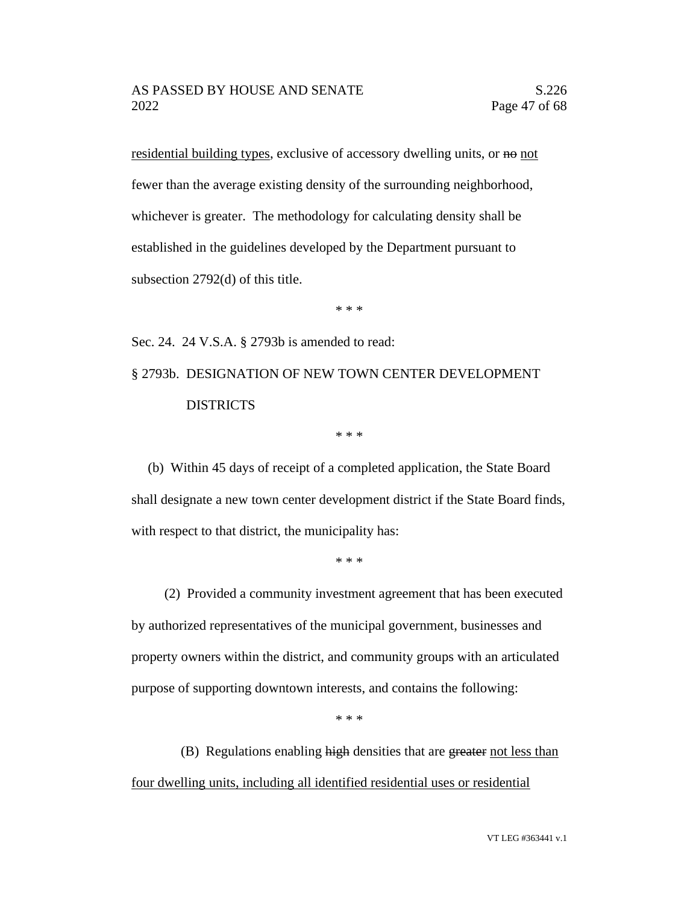residential building types, exclusive of accessory dwelling units, or no not fewer than the average existing density of the surrounding neighborhood, whichever is greater. The methodology for calculating density shall be established in the guidelines developed by the Department pursuant to subsection 2792(d) of this title.

\* \* \*

Sec. 24. 24 V.S.A. § 2793b is amended to read:

§ 2793b. DESIGNATION OF NEW TOWN CENTER DEVELOPMENT DISTRICTS

\* \* \*

(b) Within 45 days of receipt of a completed application, the State Board shall designate a new town center development district if the State Board finds, with respect to that district, the municipality has:

\* \* \*

(2) Provided a community investment agreement that has been executed by authorized representatives of the municipal government, businesses and property owners within the district, and community groups with an articulated purpose of supporting downtown interests, and contains the following:

\* \* \*

(B) Regulations enabling high densities that are greater not less than four dwelling units, including all identified residential uses or residential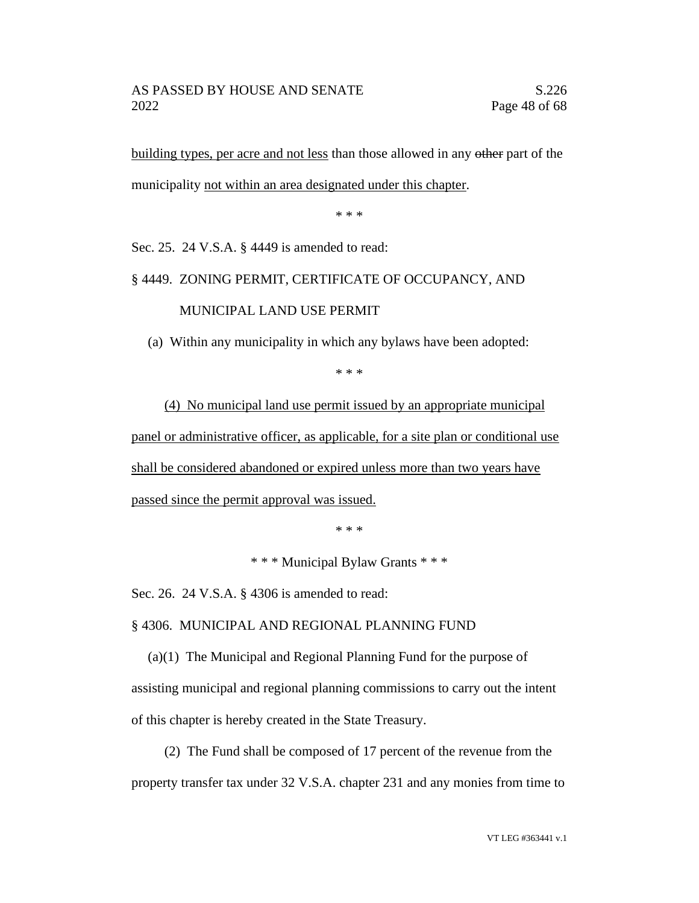building types, per acre and not less than those allowed in any other part of the municipality not within an area designated under this chapter.

\* \* \*

Sec. 25. 24 V.S.A. § 4449 is amended to read:

#### § 4449. ZONING PERMIT, CERTIFICATE OF OCCUPANCY, AND

MUNICIPAL LAND USE PERMIT

(a) Within any municipality in which any bylaws have been adopted:

\* \* \*

(4) No municipal land use permit issued by an appropriate municipal panel or administrative officer, as applicable, for a site plan or conditional use shall be considered abandoned or expired unless more than two years have passed since the permit approval was issued.

\* \* \*

\* \* \* Municipal Bylaw Grants \* \* \*

Sec. 26. 24 V.S.A. § 4306 is amended to read:

§ 4306. MUNICIPAL AND REGIONAL PLANNING FUND

(a)(1) The Municipal and Regional Planning Fund for the purpose of assisting municipal and regional planning commissions to carry out the intent of this chapter is hereby created in the State Treasury.

(2) The Fund shall be composed of 17 percent of the revenue from the property transfer tax under 32 V.S.A. chapter 231 and any monies from time to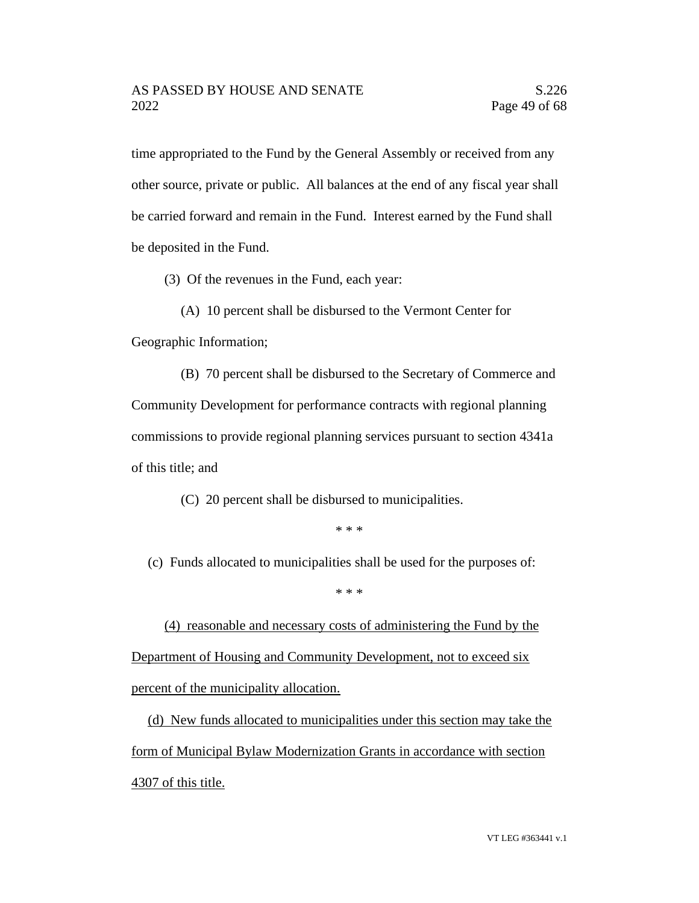time appropriated to the Fund by the General Assembly or received from any other source, private or public. All balances at the end of any fiscal year shall be carried forward and remain in the Fund. Interest earned by the Fund shall be deposited in the Fund.

(3) Of the revenues in the Fund, each year:

(A) 10 percent shall be disbursed to the Vermont Center for Geographic Information;

(B) 70 percent shall be disbursed to the Secretary of Commerce and Community Development for performance contracts with regional planning commissions to provide regional planning services pursuant to section 4341a of this title; and

(C) 20 percent shall be disbursed to municipalities.

\* \* \*

(c) Funds allocated to municipalities shall be used for the purposes of:

\* \* \*

(4) reasonable and necessary costs of administering the Fund by the Department of Housing and Community Development, not to exceed six percent of the municipality allocation.

(d) New funds allocated to municipalities under this section may take the form of Municipal Bylaw Modernization Grants in accordance with section 4307 of this title.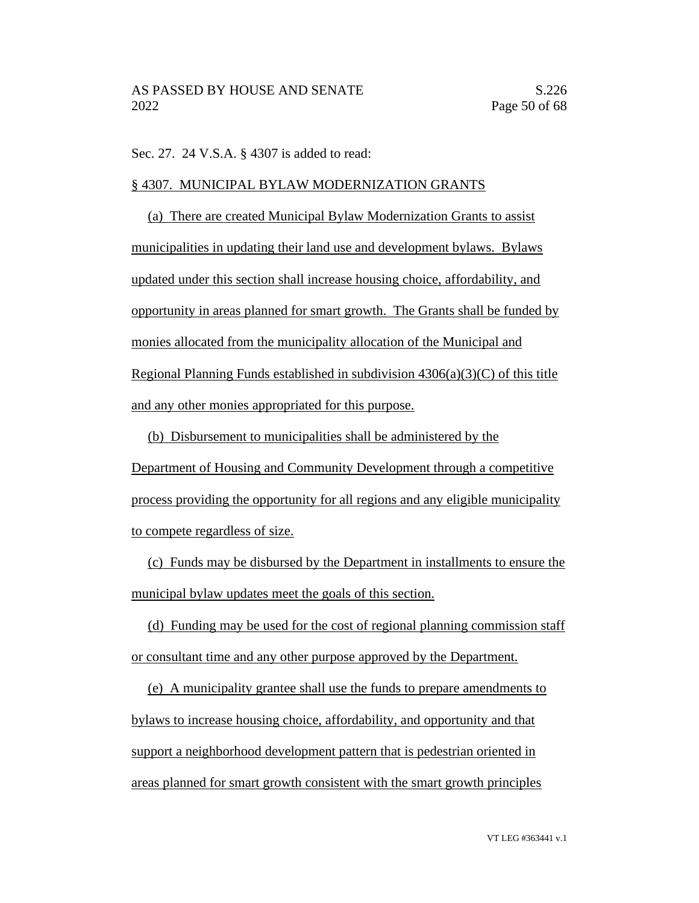Sec. 27. 24 V.S.A. § 4307 is added to read:

### § 4307. MUNICIPAL BYLAW MODERNIZATION GRANTS

(a) There are created Municipal Bylaw Modernization Grants to assist municipalities in updating their land use and development bylaws. Bylaws updated under this section shall increase housing choice, affordability, and opportunity in areas planned for smart growth. The Grants shall be funded by monies allocated from the municipality allocation of the Municipal and Regional Planning Funds established in subdivision  $4306(a)(3)(C)$  of this title and any other monies appropriated for this purpose.

(b) Disbursement to municipalities shall be administered by the Department of Housing and Community Development through a competitive process providing the opportunity for all regions and any eligible municipality to compete regardless of size.

(c) Funds may be disbursed by the Department in installments to ensure the municipal bylaw updates meet the goals of this section.

(d) Funding may be used for the cost of regional planning commission staff or consultant time and any other purpose approved by the Department.

(e) A municipality grantee shall use the funds to prepare amendments to bylaws to increase housing choice, affordability, and opportunity and that support a neighborhood development pattern that is pedestrian oriented in areas planned for smart growth consistent with the smart growth principles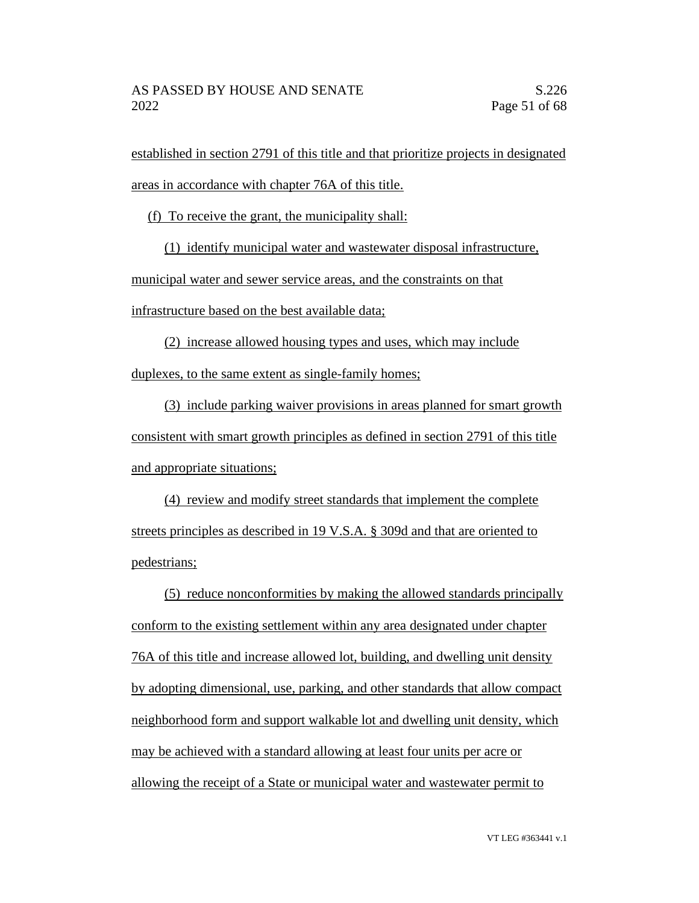established in section 2791 of this title and that prioritize projects in designated areas in accordance with chapter 76A of this title.

(f) To receive the grant, the municipality shall:

(1) identify municipal water and wastewater disposal infrastructure,

municipal water and sewer service areas, and the constraints on that

infrastructure based on the best available data;

(2) increase allowed housing types and uses, which may include duplexes, to the same extent as single-family homes;

(3) include parking waiver provisions in areas planned for smart growth consistent with smart growth principles as defined in section 2791 of this title and appropriate situations;

(4) review and modify street standards that implement the complete streets principles as described in 19 V.S.A. § 309d and that are oriented to pedestrians;

(5) reduce nonconformities by making the allowed standards principally conform to the existing settlement within any area designated under chapter 76A of this title and increase allowed lot, building, and dwelling unit density by adopting dimensional, use, parking, and other standards that allow compact neighborhood form and support walkable lot and dwelling unit density, which may be achieved with a standard allowing at least four units per acre or allowing the receipt of a State or municipal water and wastewater permit to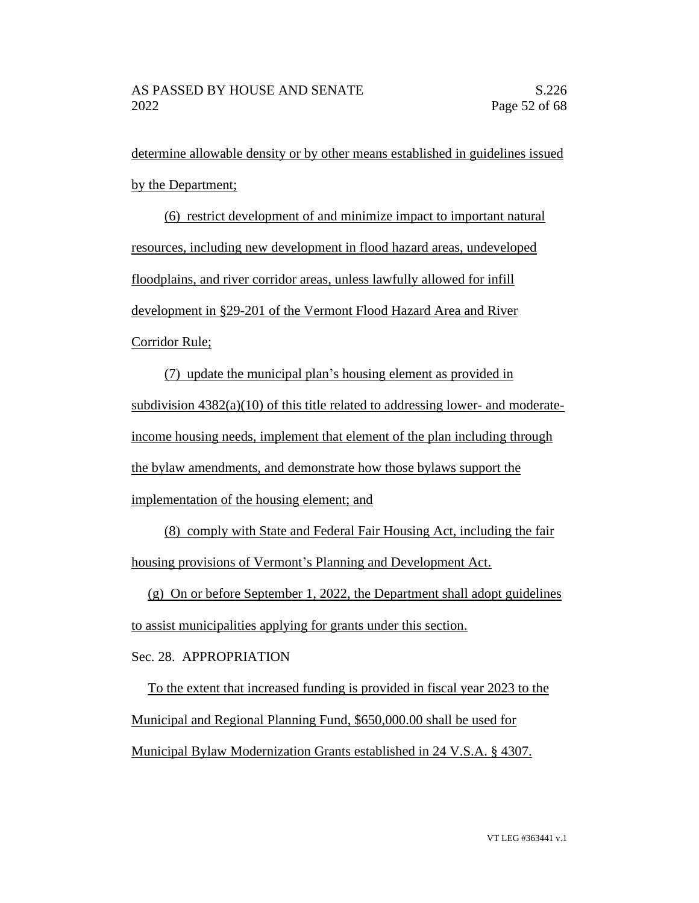determine allowable density or by other means established in guidelines issued by the Department;

(6) restrict development of and minimize impact to important natural resources, including new development in flood hazard areas, undeveloped floodplains, and river corridor areas, unless lawfully allowed for infill development in §29-201 of the Vermont Flood Hazard Area and River Corridor Rule;

(7) update the municipal plan's housing element as provided in subdivision  $4382(a)(10)$  of this title related to addressing lower- and moderateincome housing needs, implement that element of the plan including through the bylaw amendments, and demonstrate how those bylaws support the implementation of the housing element; and

(8) comply with State and Federal Fair Housing Act, including the fair housing provisions of Vermont's Planning and Development Act.

(g) On or before September 1, 2022, the Department shall adopt guidelines to assist municipalities applying for grants under this section.

Sec. 28. APPROPRIATION

To the extent that increased funding is provided in fiscal year 2023 to the Municipal and Regional Planning Fund, \$650,000.00 shall be used for Municipal Bylaw Modernization Grants established in 24 V.S.A. § 4307.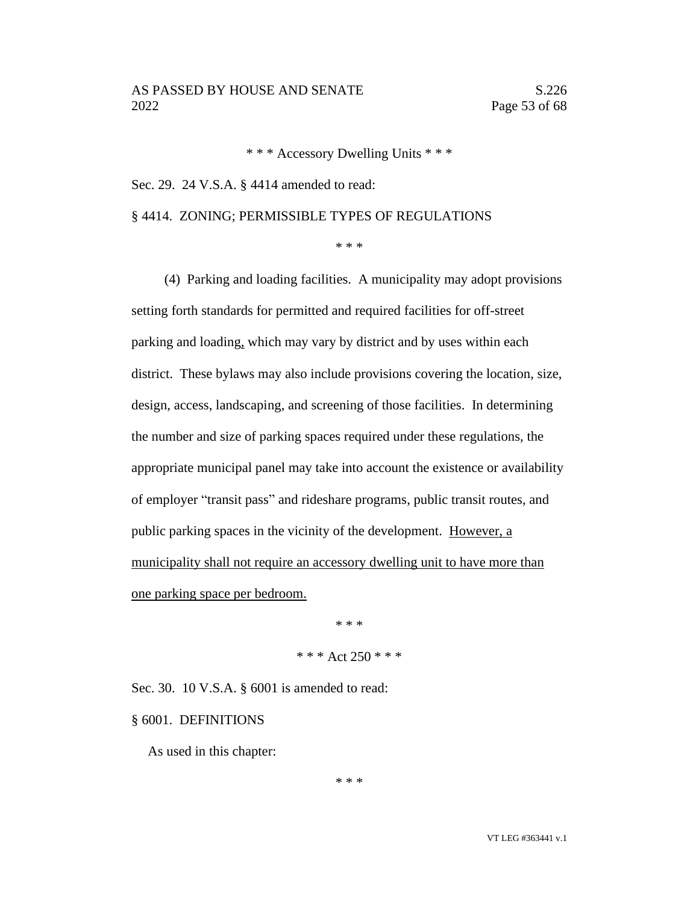\* \* \* Accessory Dwelling Units \* \* \*

Sec. 29. 24 V.S.A. § 4414 amended to read:

# § 4414. ZONING; PERMISSIBLE TYPES OF REGULATIONS

\* \* \*

(4) Parking and loading facilities. A municipality may adopt provisions setting forth standards for permitted and required facilities for off-street parking and loading, which may vary by district and by uses within each district. These bylaws may also include provisions covering the location, size, design, access, landscaping, and screening of those facilities. In determining the number and size of parking spaces required under these regulations, the appropriate municipal panel may take into account the existence or availability of employer "transit pass" and rideshare programs, public transit routes, and public parking spaces in the vicinity of the development. However, a municipality shall not require an accessory dwelling unit to have more than one parking space per bedroom.

> \* \* \* \* \* \* Act 250 \* \* \*

Sec. 30. 10 V.S.A. § 6001 is amended to read:

§ 6001. DEFINITIONS

As used in this chapter:

\* \* \*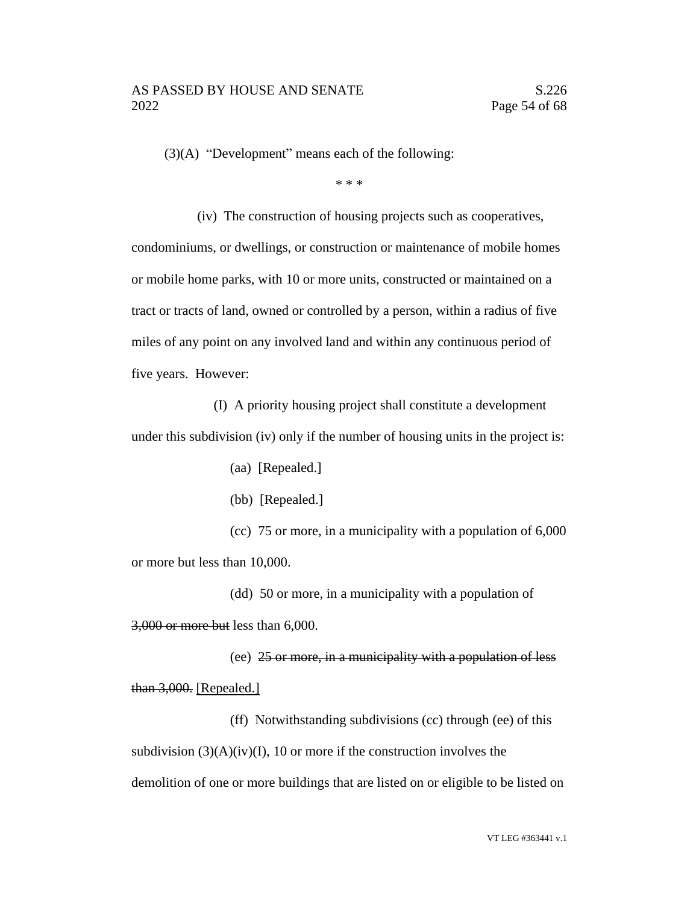(3)(A) "Development" means each of the following:

\* \* \*

(iv) The construction of housing projects such as cooperatives, condominiums, or dwellings, or construction or maintenance of mobile homes or mobile home parks, with 10 or more units, constructed or maintained on a tract or tracts of land, owned or controlled by a person, within a radius of five miles of any point on any involved land and within any continuous period of five years. However:

(I) A priority housing project shall constitute a development under this subdivision (iv) only if the number of housing units in the project is:

(aa) [Repealed.]

(bb) [Repealed.]

(cc) 75 or more, in a municipality with a population of 6,000 or more but less than 10,000.

(dd) 50 or more, in a municipality with a population of 3,000 or more but less than 6,000.

(ee) 25 or more, in a municipality with a population of less than 3,000. [Repealed.]

(ff) Notwithstanding subdivisions (cc) through (ee) of this subdivision  $(3)(A)(iv)(I)$ , 10 or more if the construction involves the demolition of one or more buildings that are listed on or eligible to be listed on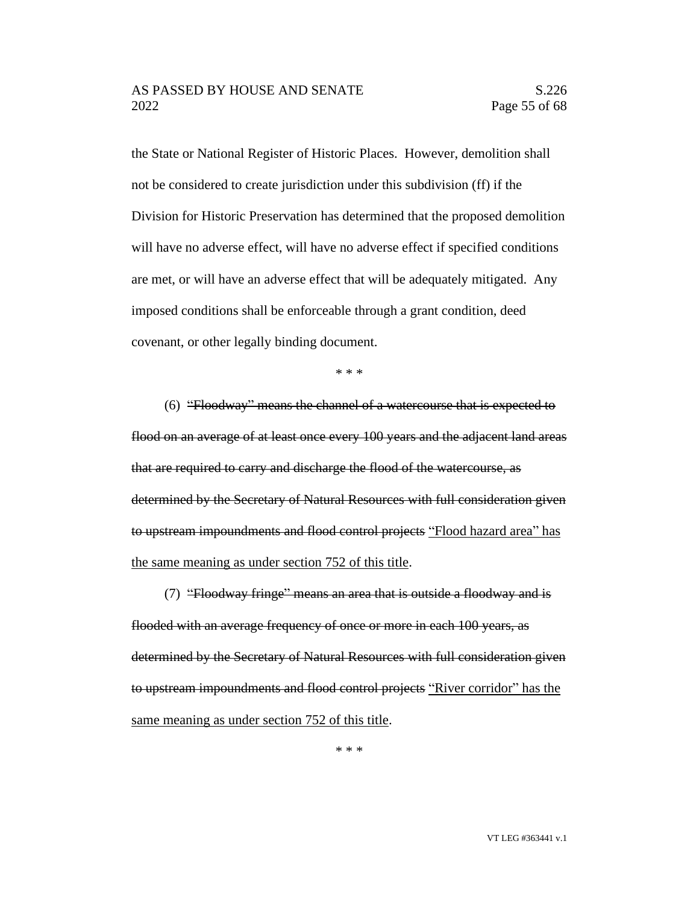the State or National Register of Historic Places. However, demolition shall not be considered to create jurisdiction under this subdivision (ff) if the Division for Historic Preservation has determined that the proposed demolition will have no adverse effect, will have no adverse effect if specified conditions are met, or will have an adverse effect that will be adequately mitigated. Any imposed conditions shall be enforceable through a grant condition, deed covenant, or other legally binding document.

\* \* \*

(6) "Floodway" means the channel of a watercourse that is expected to flood on an average of at least once every 100 years and the adjacent land areas that are required to carry and discharge the flood of the watercourse, as determined by the Secretary of Natural Resources with full consideration given to upstream impoundments and flood control projects "Flood hazard area" has the same meaning as under section 752 of this title.

(7) "Floodway fringe" means an area that is outside a floodway and is flooded with an average frequency of once or more in each 100 years, as determined by the Secretary of Natural Resources with full consideration given to upstream impoundments and flood control projects "River corridor" has the same meaning as under section 752 of this title.

\* \* \*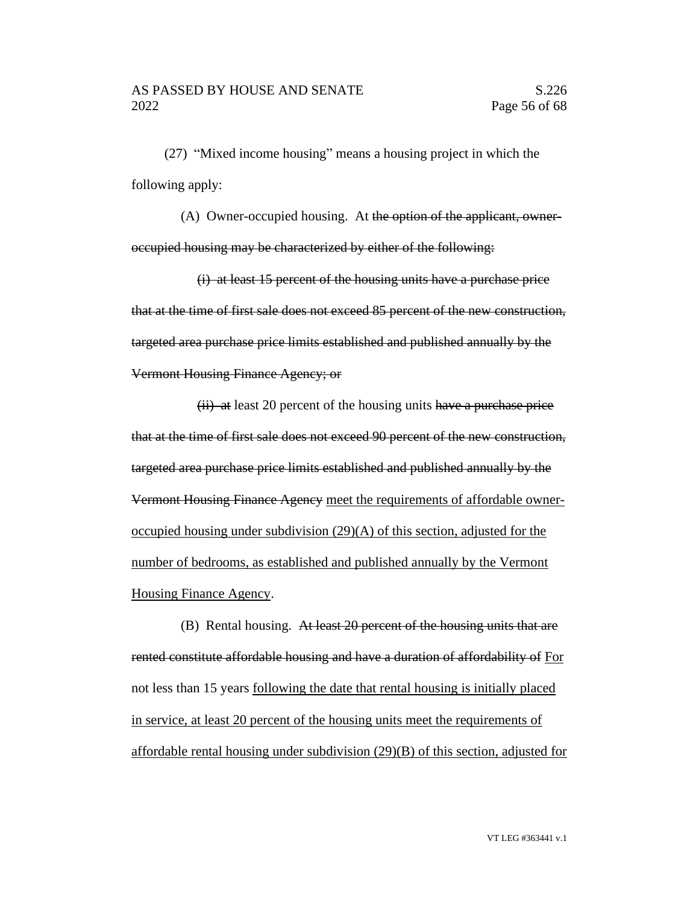(27) "Mixed income housing" means a housing project in which the following apply:

(A) Owner-occupied housing. At the option of the applicant, owneroccupied housing may be characterized by either of the following:

(i) at least 15 percent of the housing units have a purchase price that at the time of first sale does not exceed 85 percent of the new construction, targeted area purchase price limits established and published annually by the Vermont Housing Finance Agency; or

 $(ii)$  at least 20 percent of the housing units have a purchase price that at the time of first sale does not exceed 90 percent of the new construction, targeted area purchase price limits established and published annually by the Vermont Housing Finance Agency meet the requirements of affordable owneroccupied housing under subdivision (29)(A) of this section, adjusted for the number of bedrooms, as established and published annually by the Vermont Housing Finance Agency.

(B) Rental housing. At least 20 percent of the housing units that are rented constitute affordable housing and have a duration of affordability of For not less than 15 years following the date that rental housing is initially placed in service, at least 20 percent of the housing units meet the requirements of affordable rental housing under subdivision (29)(B) of this section, adjusted for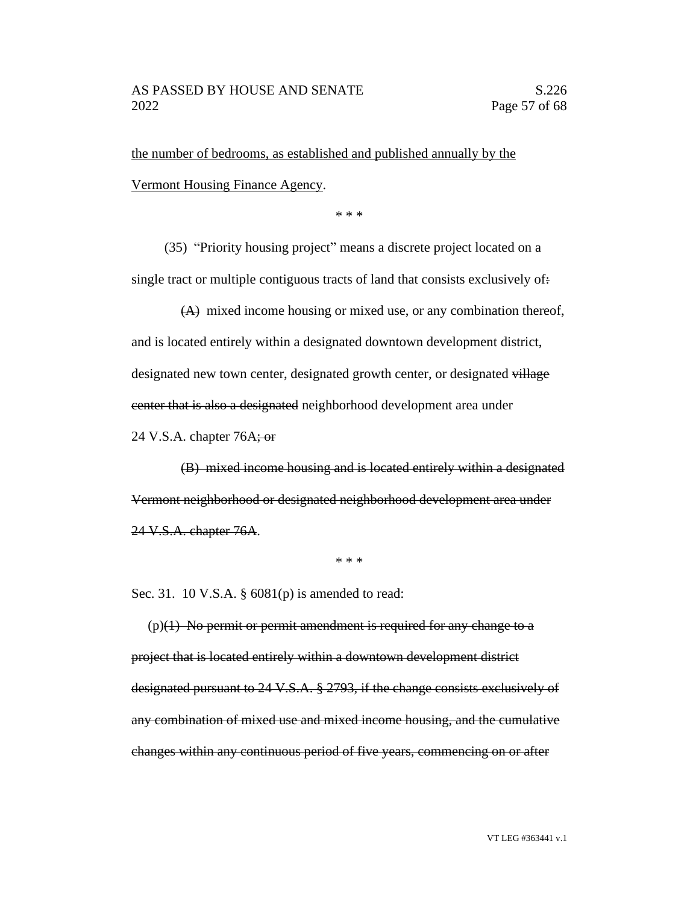the number of bedrooms, as established and published annually by the Vermont Housing Finance Agency.

\* \* \*

(35) "Priority housing project" means a discrete project located on a single tract or multiple contiguous tracts of land that consists exclusively of:

(A) mixed income housing or mixed use, or any combination thereof, and is located entirely within a designated downtown development district, designated new town center, designated growth center, or designated village center that is also a designated neighborhood development area under

24 V.S.A. chapter  $76A$ ; or

(B) mixed income housing and is located entirely within a designated Vermont neighborhood or designated neighborhood development area under 24 V.S.A. chapter 76A.

\* \* \*

Sec. 31. 10 V.S.A. § 6081(p) is amended to read:

 $(p)(1)$  No permit or permit amendment is required for any change to a project that is located entirely within a downtown development district designated pursuant to 24 V.S.A. § 2793, if the change consists exclusively of any combination of mixed use and mixed income housing, and the cumulative changes within any continuous period of five years, commencing on or after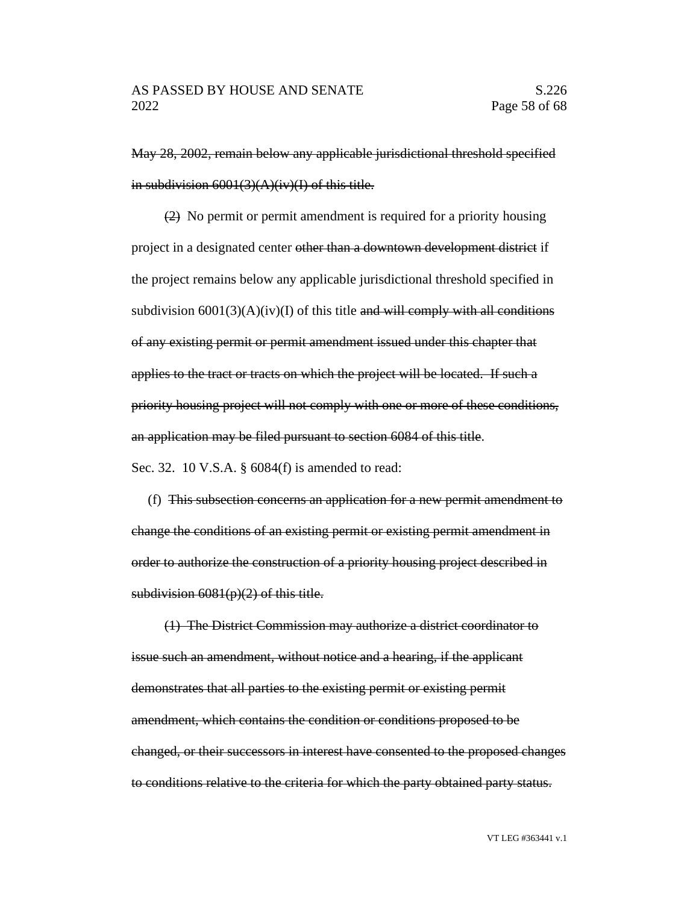May 28, 2002, remain below any applicable jurisdictional threshold specified in subdivision  $6001(3)(A)(iv)(I)$  of this title.

(2) No permit or permit amendment is required for a priority housing project in a designated center other than a downtown development district if the project remains below any applicable jurisdictional threshold specified in subdivision  $6001(3)(A)(iv)(I)$  of this title and will comply with all conditions of any existing permit or permit amendment issued under this chapter that applies to the tract or tracts on which the project will be located. If such a priority housing project will not comply with one or more of these conditions, an application may be filed pursuant to section 6084 of this title.

Sec. 32. 10 V.S.A. § 6084(f) is amended to read:

(f) This subsection concerns an application for a new permit amendment to change the conditions of an existing permit or existing permit amendment in order to authorize the construction of a priority housing project described in subdivision  $6081(p)(2)$  of this title.

(1) The District Commission may authorize a district coordinator to issue such an amendment, without notice and a hearing, if the applicant demonstrates that all parties to the existing permit or existing permit amendment, which contains the condition or conditions proposed to be changed, or their successors in interest have consented to the proposed changes to conditions relative to the criteria for which the party obtained party status.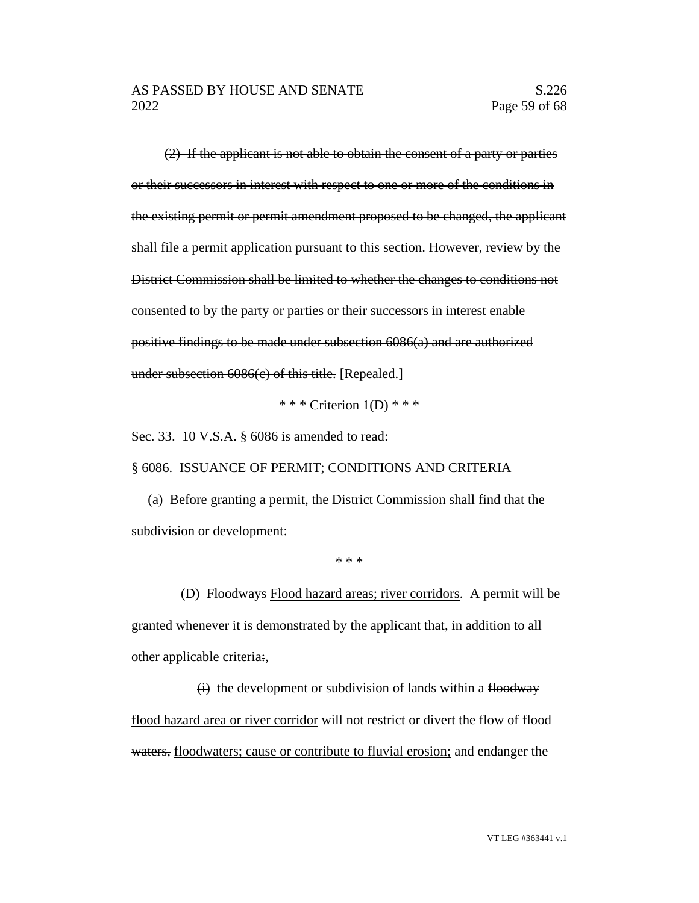(2) If the applicant is not able to obtain the consent of a party or parties or their successors in interest with respect to one or more of the conditions in the existing permit or permit amendment proposed to be changed, the applicant shall file a permit application pursuant to this section. However, review by the District Commission shall be limited to whether the changes to conditions not consented to by the party or parties or their successors in interest enable positive findings to be made under subsection 6086(a) and are authorized under subsection 6086(c) of this title. [Repealed.]

\* \* \* Criterion  $1(D)$  \* \* \*

Sec. 33. 10 V.S.A. § 6086 is amended to read:

§ 6086. ISSUANCE OF PERMIT; CONDITIONS AND CRITERIA

(a) Before granting a permit, the District Commission shall find that the subdivision or development:

\* \* \*

(D) Floodways Flood hazard areas; river corridors. A permit will be granted whenever it is demonstrated by the applicant that, in addition to all other applicable criteria:,

 $(i)$  the development or subdivision of lands within a floodway flood hazard area or river corridor will not restrict or divert the flow of flood waters, floodwaters; cause or contribute to fluvial erosion; and endanger the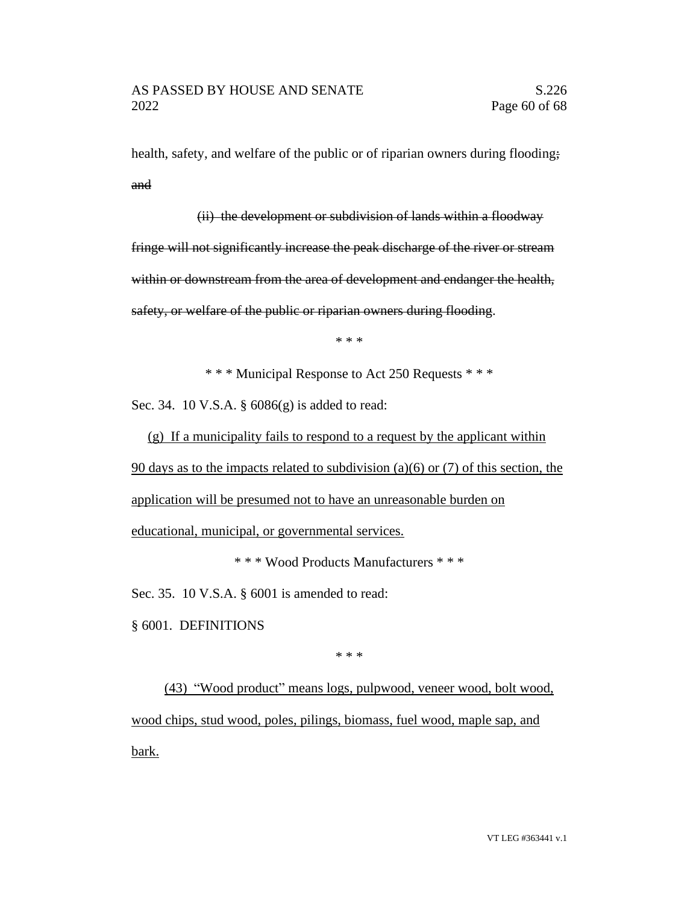health, safety, and welfare of the public or of riparian owners during flooding; and

(ii) the development or subdivision of lands within a floodway fringe will not significantly increase the peak discharge of the river or stream within or downstream from the area of development and endanger the health, safety, or welfare of the public or riparian owners during flooding.

\* \* \*

\* \* \* Municipal Response to Act 250 Requests \* \* \*

Sec. 34. 10 V.S.A. § 6086(g) is added to read:

(g) If a municipality fails to respond to a request by the applicant within 90 days as to the impacts related to subdivision (a)(6) or (7) of this section, the application will be presumed not to have an unreasonable burden on educational, municipal, or governmental services.

\* \* \* Wood Products Manufacturers \* \* \*

Sec. 35. 10 V.S.A. § 6001 is amended to read:

§ 6001. DEFINITIONS

\* \* \*

(43) "Wood product" means logs, pulpwood, veneer wood, bolt wood, wood chips, stud wood, poles, pilings, biomass, fuel wood, maple sap, and bark.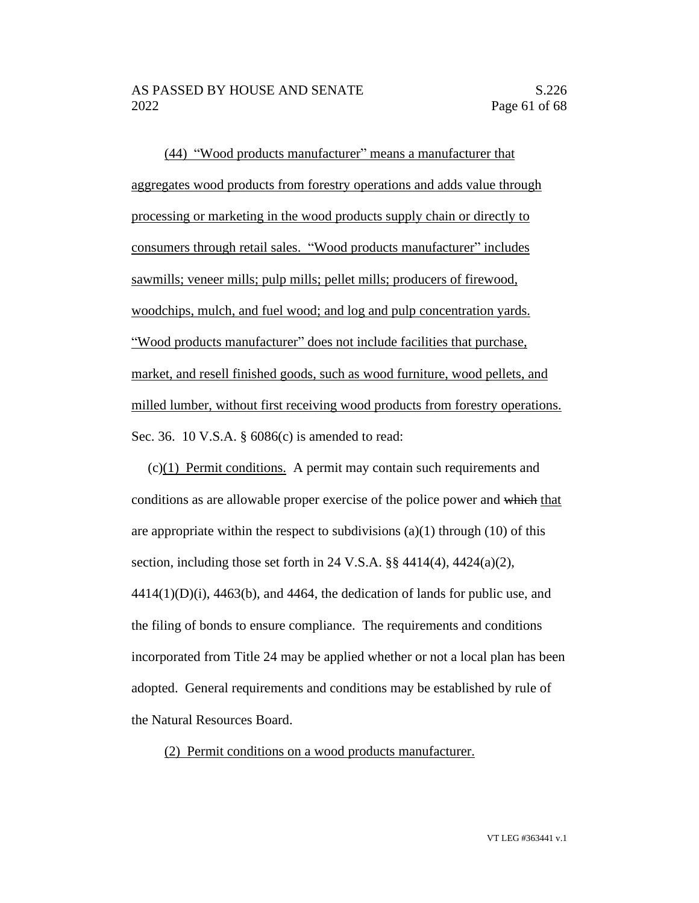(44) "Wood products manufacturer" means a manufacturer that aggregates wood products from forestry operations and adds value through processing or marketing in the wood products supply chain or directly to consumers through retail sales. "Wood products manufacturer" includes sawmills; veneer mills; pulp mills; pellet mills; producers of firewood, woodchips, mulch, and fuel wood; and log and pulp concentration yards. "Wood products manufacturer" does not include facilities that purchase, market, and resell finished goods, such as wood furniture, wood pellets, and milled lumber, without first receiving wood products from forestry operations. Sec. 36. 10 V.S.A. § 6086(c) is amended to read:

(c)(1) Permit conditions. A permit may contain such requirements and conditions as are allowable proper exercise of the police power and which that are appropriate within the respect to subdivisions  $(a)(1)$  through  $(10)$  of this section, including those set forth in 24 V.S.A. §§ 4414(4), 4424(a)(2),  $4414(1)(D)(i)$ ,  $4463(b)$ , and  $4464$ , the dedication of lands for public use, and the filing of bonds to ensure compliance. The requirements and conditions incorporated from Title 24 may be applied whether or not a local plan has been adopted. General requirements and conditions may be established by rule of the Natural Resources Board.

(2) Permit conditions on a wood products manufacturer.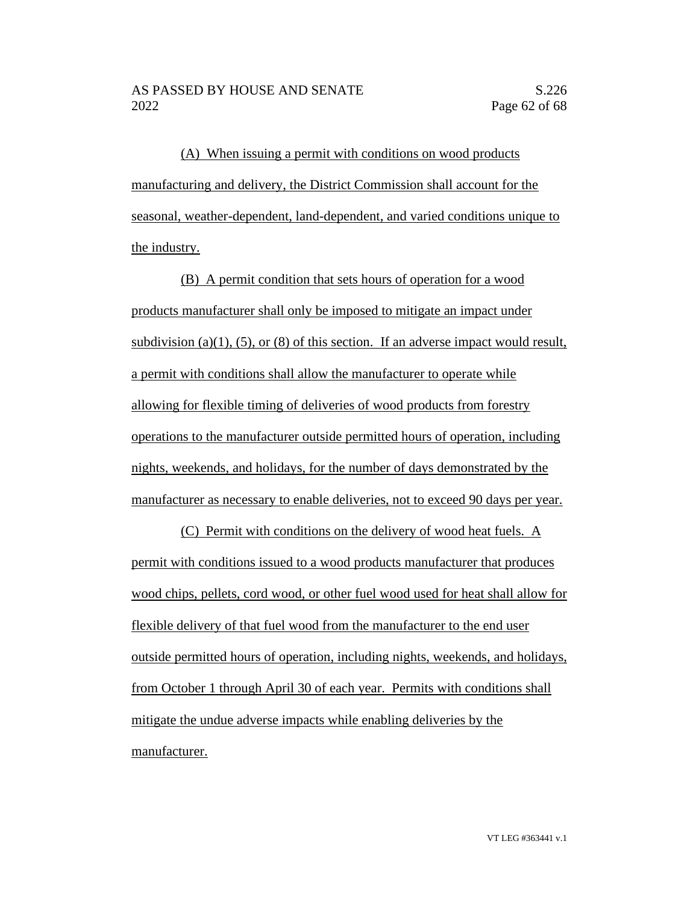(A) When issuing a permit with conditions on wood products manufacturing and delivery, the District Commission shall account for the seasonal, weather-dependent, land-dependent, and varied conditions unique to the industry.

(B) A permit condition that sets hours of operation for a wood products manufacturer shall only be imposed to mitigate an impact under subdivision (a)(1), (5), or (8) of this section. If an adverse impact would result, a permit with conditions shall allow the manufacturer to operate while allowing for flexible timing of deliveries of wood products from forestry operations to the manufacturer outside permitted hours of operation, including nights, weekends, and holidays, for the number of days demonstrated by the manufacturer as necessary to enable deliveries, not to exceed 90 days per year.

(C) Permit with conditions on the delivery of wood heat fuels. A permit with conditions issued to a wood products manufacturer that produces wood chips, pellets, cord wood, or other fuel wood used for heat shall allow for flexible delivery of that fuel wood from the manufacturer to the end user outside permitted hours of operation, including nights, weekends, and holidays, from October 1 through April 30 of each year. Permits with conditions shall mitigate the undue adverse impacts while enabling deliveries by the manufacturer.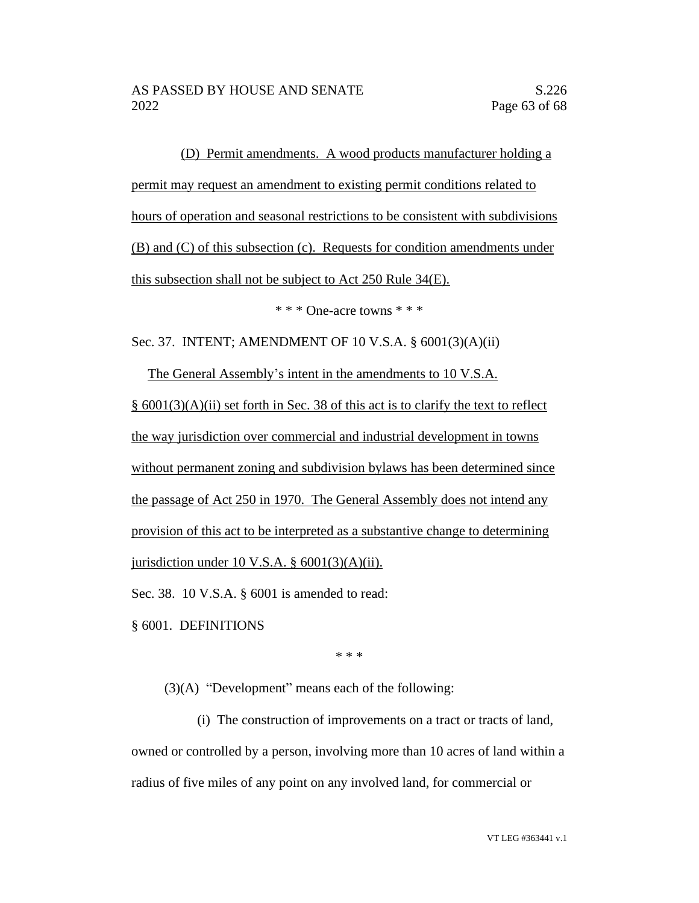(D) Permit amendments. A wood products manufacturer holding a permit may request an amendment to existing permit conditions related to hours of operation and seasonal restrictions to be consistent with subdivisions (B) and (C) of this subsection (c). Requests for condition amendments under this subsection shall not be subject to Act 250 Rule 34(E).

\* \* \* One-acre towns \* \* \*

Sec. 37. INTENT; AMENDMENT OF 10 V.S.A. § 6001(3)(A)(ii)

The General Assembly's intent in the amendments to 10 V.S.A. § 6001(3)(A)(ii) set forth in Sec. 38 of this act is to clarify the text to reflect the way jurisdiction over commercial and industrial development in towns without permanent zoning and subdivision bylaws has been determined since the passage of Act 250 in 1970. The General Assembly does not intend any provision of this act to be interpreted as a substantive change to determining jurisdiction under 10 V.S.A.  $\S$  6001(3)(A)(ii).

Sec. 38. 10 V.S.A. § 6001 is amended to read:

§ 6001. DEFINITIONS

\* \* \*

(3)(A) "Development" means each of the following:

(i) The construction of improvements on a tract or tracts of land, owned or controlled by a person, involving more than 10 acres of land within a radius of five miles of any point on any involved land, for commercial or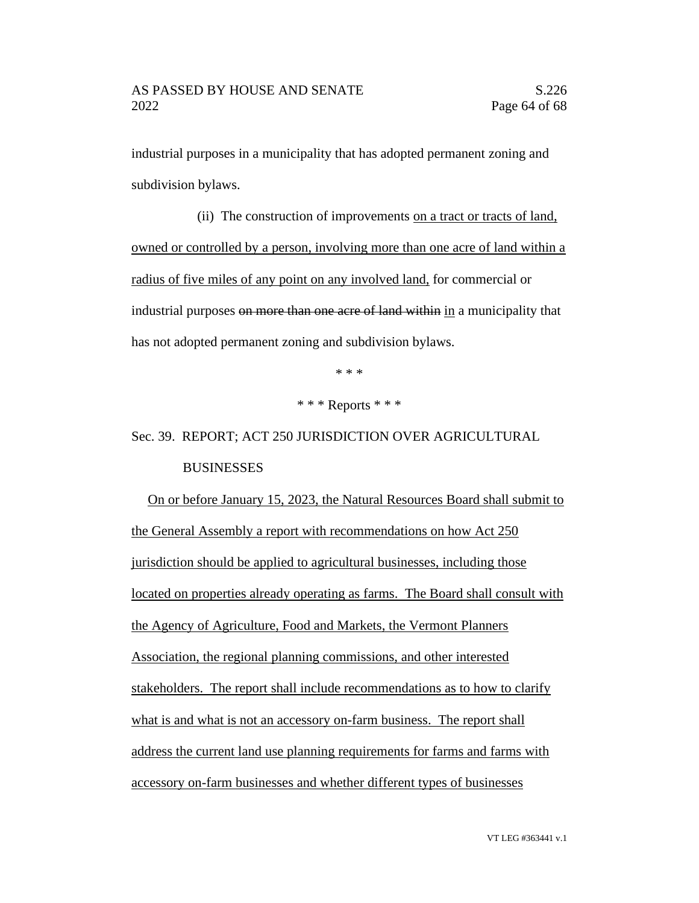industrial purposes in a municipality that has adopted permanent zoning and subdivision bylaws.

(ii) The construction of improvements on a tract or tracts of land, owned or controlled by a person, involving more than one acre of land within a radius of five miles of any point on any involved land, for commercial or industrial purposes on more than one acre of land within in a municipality that has not adopted permanent zoning and subdivision bylaws.

\* \* \*

\* \* \* Reports \* \* \*

Sec. 39. REPORT; ACT 250 JURISDICTION OVER AGRICULTURAL BUSINESSES

On or before January 15, 2023, the Natural Resources Board shall submit to the General Assembly a report with recommendations on how Act 250 jurisdiction should be applied to agricultural businesses, including those located on properties already operating as farms. The Board shall consult with the Agency of Agriculture, Food and Markets, the Vermont Planners Association, the regional planning commissions, and other interested stakeholders. The report shall include recommendations as to how to clarify what is and what is not an accessory on-farm business. The report shall address the current land use planning requirements for farms and farms with accessory on-farm businesses and whether different types of businesses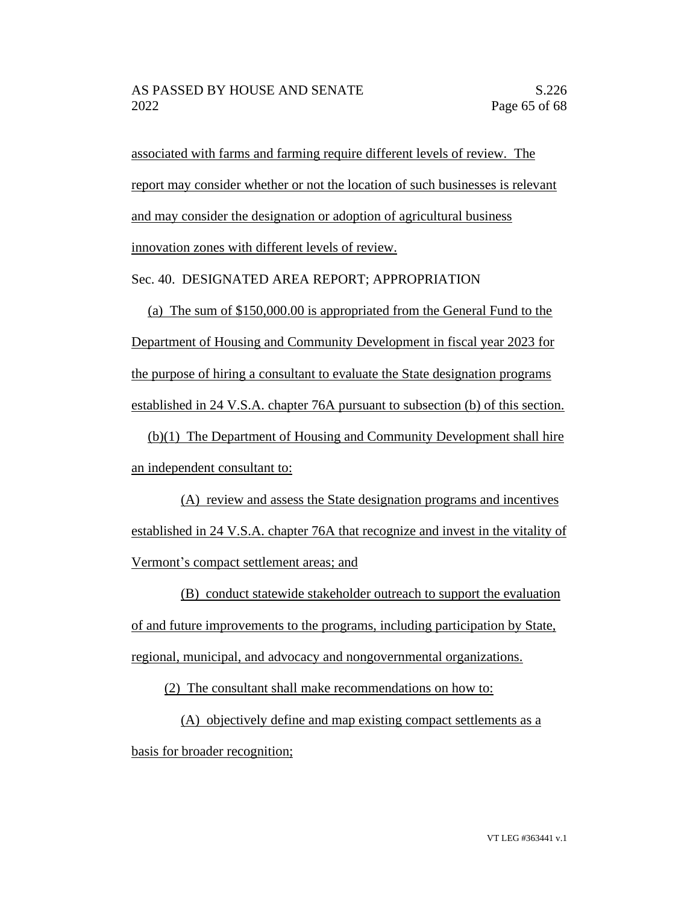associated with farms and farming require different levels of review. The report may consider whether or not the location of such businesses is relevant and may consider the designation or adoption of agricultural business innovation zones with different levels of review.

Sec. 40. DESIGNATED AREA REPORT; APPROPRIATION

(a) The sum of \$150,000.00 is appropriated from the General Fund to the Department of Housing and Community Development in fiscal year 2023 for the purpose of hiring a consultant to evaluate the State designation programs established in 24 V.S.A. chapter 76A pursuant to subsection (b) of this section.

(b)(1) The Department of Housing and Community Development shall hire an independent consultant to:

(A) review and assess the State designation programs and incentives established in 24 V.S.A. chapter 76A that recognize and invest in the vitality of Vermont's compact settlement areas; and

(B) conduct statewide stakeholder outreach to support the evaluation of and future improvements to the programs, including participation by State, regional, municipal, and advocacy and nongovernmental organizations.

(2) The consultant shall make recommendations on how to:

(A) objectively define and map existing compact settlements as a basis for broader recognition;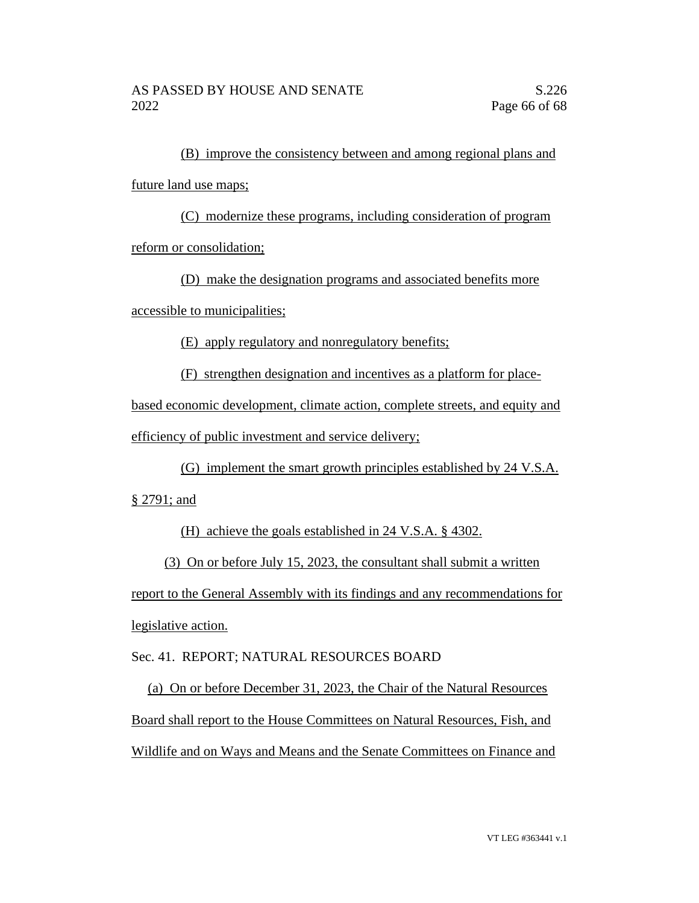(B) improve the consistency between and among regional plans and future land use maps;

(C) modernize these programs, including consideration of program reform or consolidation;

(D) make the designation programs and associated benefits more

accessible to municipalities;

(E) apply regulatory and nonregulatory benefits;

(F) strengthen designation and incentives as a platform for place-

based economic development, climate action, complete streets, and equity and efficiency of public investment and service delivery;

(G) implement the smart growth principles established by 24 V.S.A.

§ 2791; and

(H) achieve the goals established in 24 V.S.A. § 4302.

(3) On or before July 15, 2023, the consultant shall submit a written report to the General Assembly with its findings and any recommendations for legislative action.

Sec. 41. REPORT; NATURAL RESOURCES BOARD

(a) On or before December 31, 2023, the Chair of the Natural Resources Board shall report to the House Committees on Natural Resources, Fish, and Wildlife and on Ways and Means and the Senate Committees on Finance and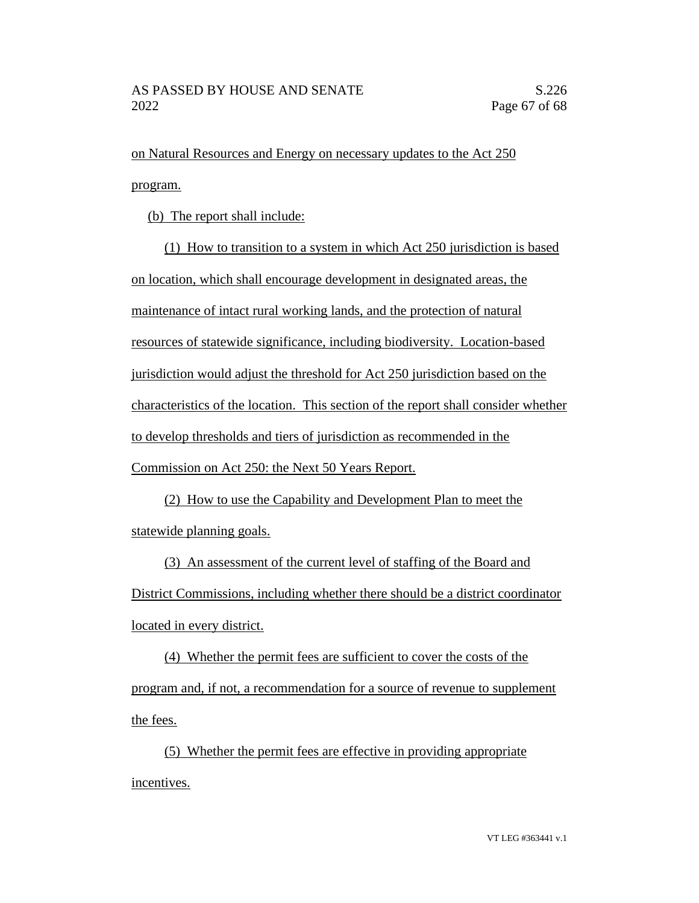on Natural Resources and Energy on necessary updates to the Act 250 program.

(b) The report shall include:

(1) How to transition to a system in which Act 250 jurisdiction is based on location, which shall encourage development in designated areas, the maintenance of intact rural working lands, and the protection of natural resources of statewide significance, including biodiversity. Location-based jurisdiction would adjust the threshold for Act 250 jurisdiction based on the characteristics of the location. This section of the report shall consider whether to develop thresholds and tiers of jurisdiction as recommended in the Commission on Act 250: the Next 50 Years Report.

(2) How to use the Capability and Development Plan to meet the statewide planning goals.

(3) An assessment of the current level of staffing of the Board and District Commissions, including whether there should be a district coordinator located in every district.

(4) Whether the permit fees are sufficient to cover the costs of the program and, if not, a recommendation for a source of revenue to supplement the fees.

(5) Whether the permit fees are effective in providing appropriate incentives.